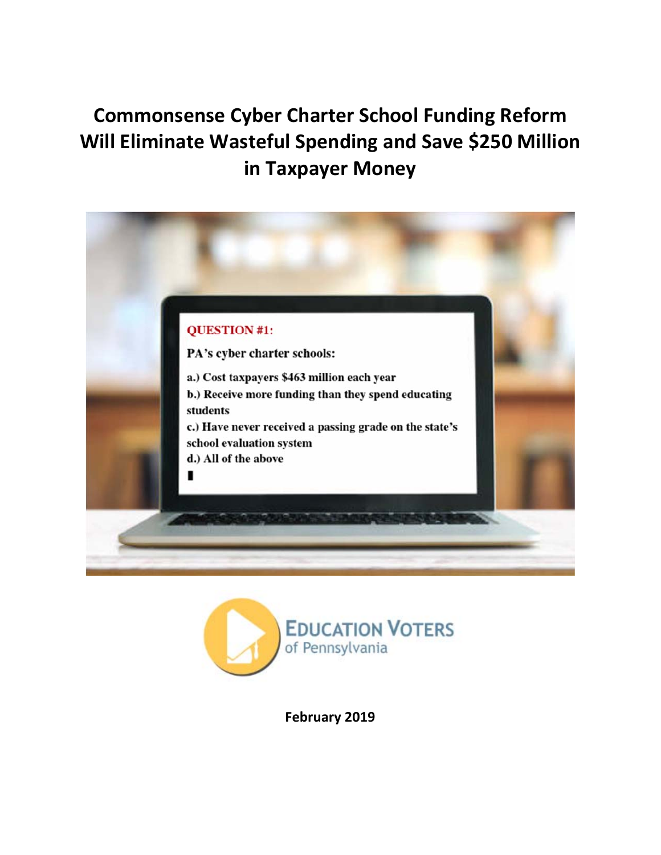# **Commonsense Cyber Charter School Funding Reform Will Eliminate Wasteful Spending and Save \$250 Million in Taxpayer Money**





**February 2019**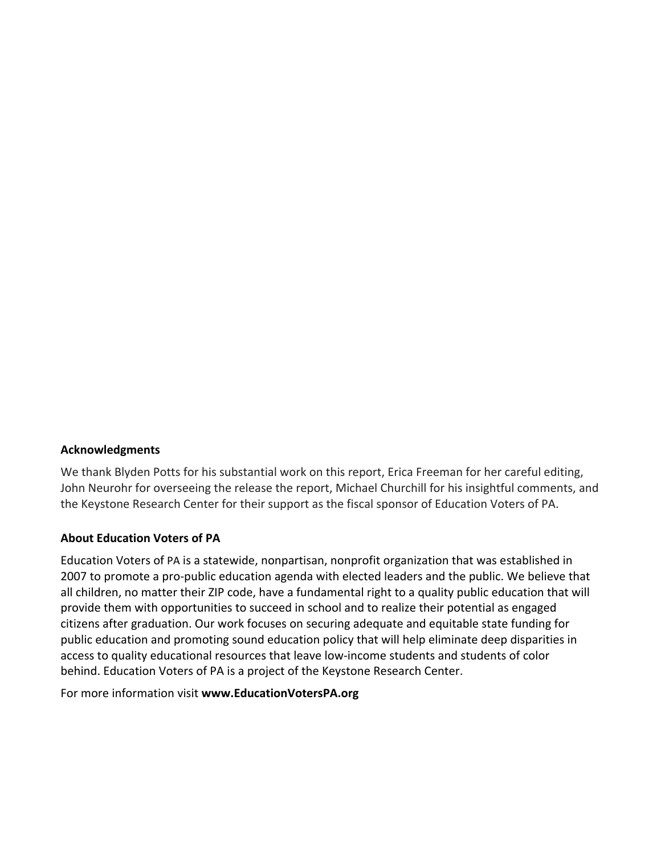#### **Acknowledgments**

We thank Blyden Potts for his substantial work on this report, Erica Freeman for her careful editing, John Neurohr for overseeing the release the report, Michael Churchill for his insightful comments, and the Keystone Research Center for their support as the fiscal sponsor of Education Voters of PA.

#### **About Education Voters of PA**

Education Voters of PA is a statewide, nonpartisan, nonprofit organization that was established in 2007 to promote a pro‐public education agenda with elected leaders and the public. We believe that all children, no matter their ZIP code, have a fundamental right to a quality public education that will provide them with opportunities to succeed in school and to realize their potential as engaged citizens after graduation. Our work focuses on securing adequate and equitable state funding for public education and promoting sound education policy that will help eliminate deep disparities in access to quality educational resources that leave low‐income students and students of color behind. Education Voters of PA is a project of the Keystone Research Center.

For more information visit **www.EducationVotersPA.org**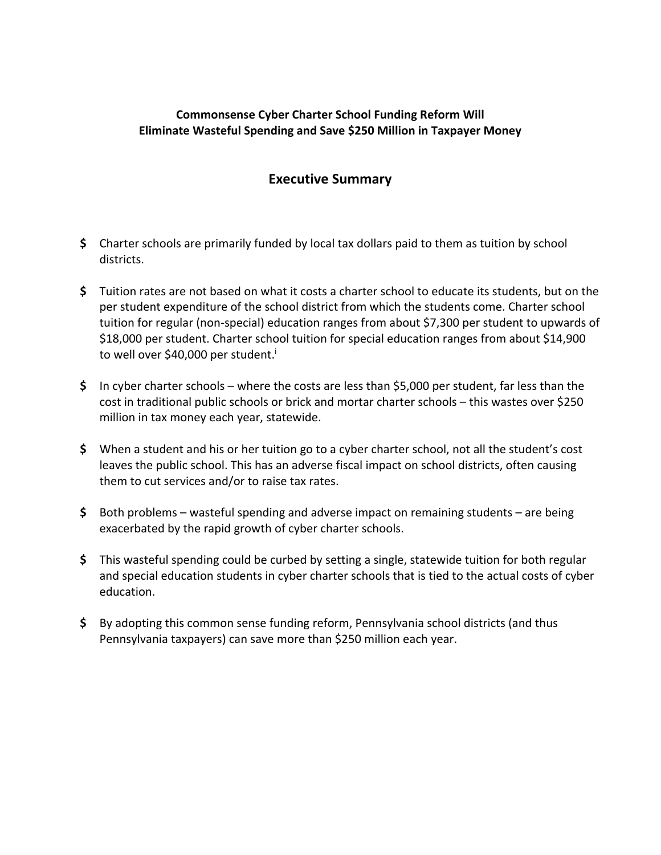### **Commonsense Cyber Charter School Funding Reform Will Eliminate Wasteful Spending and Save \$250 Million in Taxpayer Money**

## **Executive Summary**

- **\$** Charter schools are primarily funded by local tax dollars paid to them as tuition by school districts.
- **\$** Tuition rates are not based on what it costs a charter school to educate its students, but on the per student expenditure of the school district from which the students come. Charter school tuition for regular (non‐special) education ranges from about \$7,300 per student to upwards of \$18,000 per student. Charter school tuition for special education ranges from about \$14,900 to well over \$40,000 per student.<sup>i</sup>
- **\$** In cyber charter schools where the costs are less than \$5,000 per student, far less than the cost in traditional public schools or brick and mortar charter schools – this wastes over \$250 million in tax money each year, statewide.
- **\$** When a student and his or her tuition go to a cyber charter school, not all the student's cost leaves the public school. This has an adverse fiscal impact on school districts, often causing them to cut services and/or to raise tax rates.
- **\$** Both problems wasteful spending and adverse impact on remaining students are being exacerbated by the rapid growth of cyber charter schools.
- **\$** This wasteful spending could be curbed by setting a single, statewide tuition for both regular and special education students in cyber charter schools that is tied to the actual costs of cyber education.
- **\$** By adopting this common sense funding reform, Pennsylvania school districts (and thus Pennsylvania taxpayers) can save more than \$250 million each year.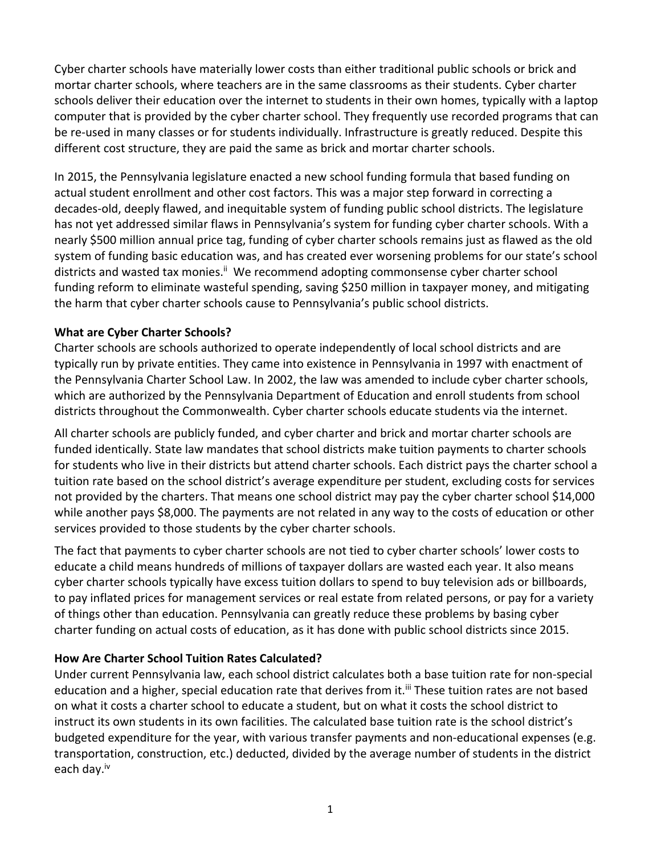Cyber charter schools have materially lower costs than either traditional public schools or brick and mortar charter schools, where teachers are in the same classrooms as their students. Cyber charter schools deliver their education over the internet to students in their own homes, typically with a laptop computer that is provided by the cyber charter school. They frequently use recorded programs that can be re-used in many classes or for students individually. Infrastructure is greatly reduced. Despite this different cost structure, they are paid the same as brick and mortar charter schools.

In 2015, the Pennsylvania legislature enacted a new school funding formula that based funding on actual student enrollment and other cost factors. This was a major step forward in correcting a decades‐old, deeply flawed, and inequitable system of funding public school districts. The legislature has not yet addressed similar flaws in Pennsylvania's system for funding cyber charter schools. With a nearly \$500 million annual price tag, funding of cyber charter schools remains just as flawed as the old system of funding basic education was, and has created ever worsening problems for our state's school districts and wasted tax monies.<sup>ii</sup> We recommend adopting commonsense cyber charter school funding reform to eliminate wasteful spending, saving \$250 million in taxpayer money, and mitigating the harm that cyber charter schools cause to Pennsylvania's public school districts.

### **What are Cyber Charter Schools?**

Charter schools are schools authorized to operate independently of local school districts and are typically run by private entities. They came into existence in Pennsylvania in 1997 with enactment of the Pennsylvania Charter School Law. In 2002, the law was amended to include cyber charter schools, which are authorized by the Pennsylvania Department of Education and enroll students from school districts throughout the Commonwealth. Cyber charter schools educate students via the internet.

All charter schools are publicly funded, and cyber charter and brick and mortar charter schools are funded identically. State law mandates that school districts make tuition payments to charter schools for students who live in their districts but attend charter schools. Each district pays the charter school a tuition rate based on the school district's average expenditure per student, excluding costs for services not provided by the charters. That means one school district may pay the cyber charter school \$14,000 while another pays \$8,000. The payments are not related in any way to the costs of education or other services provided to those students by the cyber charter schools.

The fact that payments to cyber charter schools are not tied to cyber charter schools' lower costs to educate a child means hundreds of millions of taxpayer dollars are wasted each year. It also means cyber charter schools typically have excess tuition dollars to spend to buy television ads or billboards, to pay inflated prices for management services or real estate from related persons, or pay for a variety of things other than education. Pennsylvania can greatly reduce these problems by basing cyber charter funding on actual costs of education, as it has done with public school districts since 2015.

### **How Are Charter School Tuition Rates Calculated?**

Under current Pennsylvania law, each school district calculates both a base tuition rate for non‐special education and a higher, special education rate that derives from it.<sup>iii</sup> These tuition rates are not based on what it costs a charter school to educate a student, but on what it costs the school district to instruct its own students in its own facilities. The calculated base tuition rate is the school district's budgeted expenditure for the year, with various transfer payments and non‐educational expenses (e.g. transportation, construction, etc.) deducted, divided by the average number of students in the district each day.<sup>iv</sup>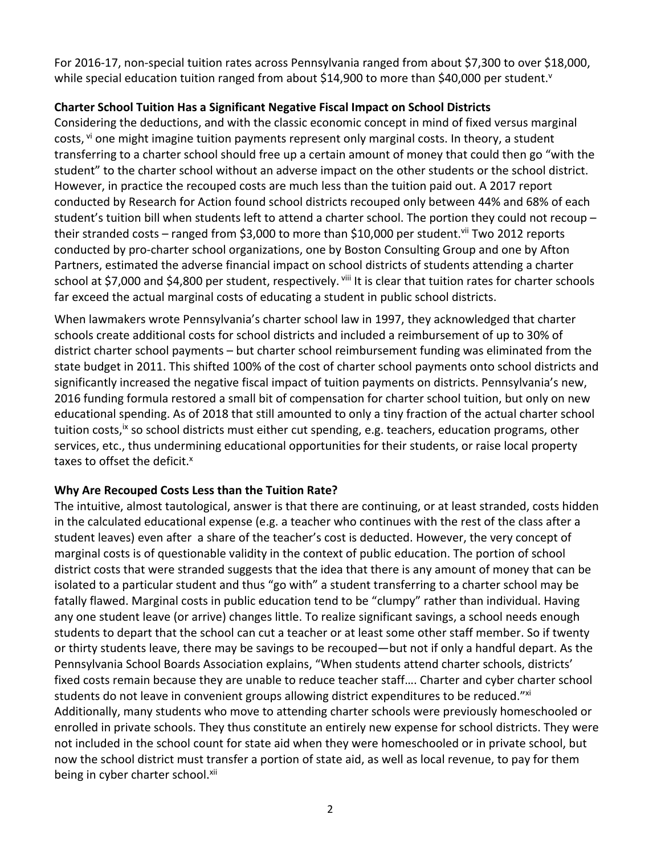For 2016‐17, non‐special tuition rates across Pennsylvania ranged from about \$7,300 to over \$18,000, while special education tuition ranged from about \$14,900 to more than \$40,000 per student.<sup>v</sup>

## **Charter School Tuition Has a Significant Negative Fiscal Impact on School Districts**

Considering the deductions, and with the classic economic concept in mind of fixed versus marginal costs, <sup>vi</sup> one might imagine tuition payments represent only marginal costs. In theory, a student transferring to a charter school should free up a certain amount of money that could then go "with the student" to the charter school without an adverse impact on the other students or the school district. However, in practice the recouped costs are much less than the tuition paid out. A 2017 report conducted by Research for Action found school districts recouped only between 44% and 68% of each student's tuition bill when students left to attend a charter school. The portion they could not recoup – their stranded costs – ranged from \$3,000 to more than \$10,000 per student.<sup>vii</sup> Two 2012 reports conducted by pro‐charter school organizations, one by Boston Consulting Group and one by Afton Partners, estimated the adverse financial impact on school districts of students attending a charter school at \$7,000 and \$4,800 per student, respectively. Vill It is clear that tuition rates for charter schools far exceed the actual marginal costs of educating a student in public school districts.

When lawmakers wrote Pennsylvania's charter school law in 1997, they acknowledged that charter schools create additional costs for school districts and included a reimbursement of up to 30% of district charter school payments – but charter school reimbursement funding was eliminated from the state budget in 2011. This shifted 100% of the cost of charter school payments onto school districts and significantly increased the negative fiscal impact of tuition payments on districts. Pennsylvania's new, 2016 funding formula restored a small bit of compensation for charter school tuition, but only on new educational spending. As of 2018 that still amounted to only a tiny fraction of the actual charter school tuition costs,<sup>ix</sup> so school districts must either cut spending, e.g. teachers, education programs, other services, etc., thus undermining educational opportunities for their students, or raise local property taxes to offset the deficit.<sup>x</sup>

### **Why Are Recouped Costs Less than the Tuition Rate?**

The intuitive, almost tautological, answer is that there are continuing, or at least stranded, costs hidden in the calculated educational expense (e.g. a teacher who continues with the rest of the class after a student leaves) even after a share of the teacher's cost is deducted. However, the very concept of marginal costs is of questionable validity in the context of public education. The portion of school district costs that were stranded suggests that the idea that there is any amount of money that can be isolated to a particular student and thus "go with" a student transferring to a charter school may be fatally flawed. Marginal costs in public education tend to be "clumpy" rather than individual. Having any one student leave (or arrive) changes little. To realize significant savings, a school needs enough students to depart that the school can cut a teacher or at least some other staff member. So if twenty or thirty students leave, there may be savings to be recouped—but not if only a handful depart. As the Pennsylvania School Boards Association explains, "When students attend charter schools, districts' fixed costs remain because they are unable to reduce teacher staff…. Charter and cyber charter school students do not leave in convenient groups allowing district expenditures to be reduced." xi Additionally, many students who move to attending charter schools were previously homeschooled or enrolled in private schools. They thus constitute an entirely new expense for school districts. They were not included in the school count for state aid when they were homeschooled or in private school, but now the school district must transfer a portion of state aid, as well as local revenue, to pay for them being in cyber charter school.xii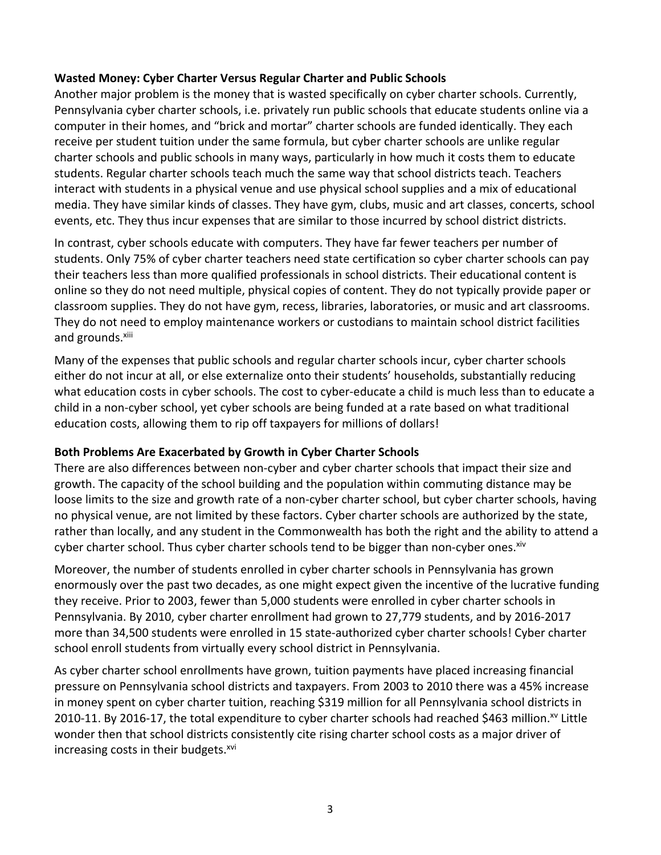### **Wasted Money: Cyber Charter Versus Regular Charter and Public Schools**

Another major problem is the money that is wasted specifically on cyber charter schools. Currently, Pennsylvania cyber charter schools, i.e. privately run public schools that educate students online via a computer in their homes, and "brick and mortar" charter schools are funded identically. They each receive per student tuition under the same formula, but cyber charter schools are unlike regular charter schools and public schools in many ways, particularly in how much it costs them to educate students. Regular charter schools teach much the same way that school districts teach. Teachers interact with students in a physical venue and use physical school supplies and a mix of educational media. They have similar kinds of classes. They have gym, clubs, music and art classes, concerts, school events, etc. They thus incur expenses that are similar to those incurred by school district districts.

In contrast, cyber schools educate with computers. They have far fewer teachers per number of students. Only 75% of cyber charter teachers need state certification so cyber charter schools can pay their teachers less than more qualified professionals in school districts. Their educational content is online so they do not need multiple, physical copies of content. They do not typically provide paper or classroom supplies. They do not have gym, recess, libraries, laboratories, or music and art classrooms. They do not need to employ maintenance workers or custodians to maintain school district facilities and grounds.<sup>xiii</sup>

Many of the expenses that public schools and regular charter schools incur, cyber charter schools either do not incur at all, or else externalize onto their students' households, substantially reducing what education costs in cyber schools. The cost to cyber-educate a child is much less than to educate a child in a non‐cyber school, yet cyber schools are being funded at a rate based on what traditional education costs, allowing them to rip off taxpayers for millions of dollars!

### **Both Problems Are Exacerbated by Growth in Cyber Charter Schools**

There are also differences between non‐cyber and cyber charter schools that impact their size and growth. The capacity of the school building and the population within commuting distance may be loose limits to the size and growth rate of a non-cyber charter school, but cyber charter schools, having no physical venue, are not limited by these factors. Cyber charter schools are authorized by the state, rather than locally, and any student in the Commonwealth has both the right and the ability to attend a cyber charter school. Thus cyber charter schools tend to be bigger than non-cyber ones.<sup>xiv</sup>

Moreover, the number of students enrolled in cyber charter schools in Pennsylvania has grown enormously over the past two decades, as one might expect given the incentive of the lucrative funding they receive. Prior to 2003, fewer than 5,000 students were enrolled in cyber charter schools in Pennsylvania. By 2010, cyber charter enrollment had grown to 27,779 students, and by 2016‐2017 more than 34,500 students were enrolled in 15 state‐authorized cyber charter schools! Cyber charter school enroll students from virtually every school district in Pennsylvania.

As cyber charter school enrollments have grown, tuition payments have placed increasing financial pressure on Pennsylvania school districts and taxpayers. From 2003 to 2010 there was a 45% increase in money spent on cyber charter tuition, reaching \$319 million for all Pennsylvania school districts in 2010-11. By 2016-17, the total expenditure to cyber charter schools had reached \$463 million.<sup>xv</sup> Little wonder then that school districts consistently cite rising charter school costs as a major driver of increasing costs in their budgets.<sup>xvi</sup>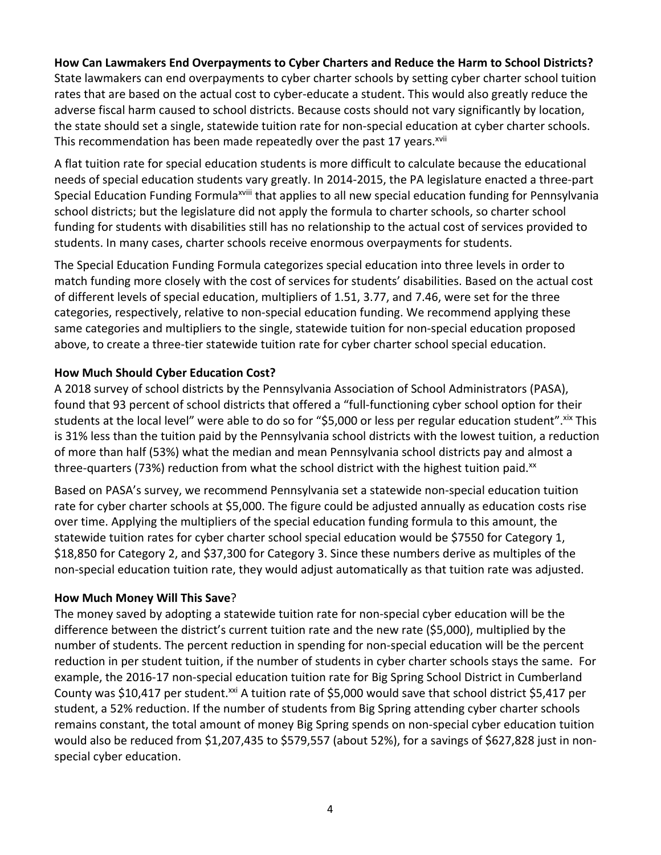### **How Can Lawmakers End Overpayments to Cyber Charters and Reduce the Harm to School Districts?**

State lawmakers can end overpayments to cyber charter schools by setting cyber charter school tuition rates that are based on the actual cost to cyber-educate a student. This would also greatly reduce the adverse fiscal harm caused to school districts. Because costs should not vary significantly by location, the state should set a single, statewide tuition rate for non‐special education at cyber charter schools. This recommendation has been made repeatedly over the past 17 years.<sup>xvii</sup>

A flat tuition rate for special education students is more difficult to calculate because the educational needs of special education students vary greatly. In 2014‐2015, the PA legislature enacted a three‐part Special Education Funding Formula<sup>xviii</sup> that applies to all new special education funding for Pennsylvania school districts; but the legislature did not apply the formula to charter schools, so charter school funding for students with disabilities still has no relationship to the actual cost of services provided to students. In many cases, charter schools receive enormous overpayments for students.

The Special Education Funding Formula categorizes special education into three levels in order to match funding more closely with the cost of services for students' disabilities. Based on the actual cost of different levels of special education, multipliers of 1.51, 3.77, and 7.46, were set for the three categories, respectively, relative to non‐special education funding. We recommend applying these same categories and multipliers to the single, statewide tuition for non‐special education proposed above, to create a three-tier statewide tuition rate for cyber charter school special education.

### **How Much Should Cyber Education Cost?**

A 2018 survey of school districts by the Pennsylvania Association of School Administrators (PASA), found that 93 percent of school districts that offered a "full-functioning cyber school option for their students at the local level" were able to do so for "\$5,000 or less per regular education student". Xix This is 31% less than the tuition paid by the Pennsylvania school districts with the lowest tuition, a reduction of more than half (53%) what the median and mean Pennsylvania school districts pay and almost a three-quarters (73%) reduction from what the school district with the highest tuition paid.<sup>xx</sup>

Based on PASA's survey, we recommend Pennsylvania set a statewide non‐special education tuition rate for cyber charter schools at \$5,000. The figure could be adjusted annually as education costs rise over time. Applying the multipliers of the special education funding formula to this amount, the statewide tuition rates for cyber charter school special education would be \$7550 for Category 1, \$18,850 for Category 2, and \$37,300 for Category 3. Since these numbers derive as multiples of the non‐special education tuition rate, they would adjust automatically as that tuition rate was adjusted.

#### **How Much Money Will This Save**?

The money saved by adopting a statewide tuition rate for non-special cyber education will be the difference between the district's current tuition rate and the new rate (\$5,000), multiplied by the number of students. The percent reduction in spending for non‐special education will be the percent reduction in per student tuition, if the number of students in cyber charter schools stays the same. For example, the 2016‐17 non‐special education tuition rate for Big Spring School District in Cumberland County was \$10,417 per student.<sup>xxi</sup> A tuition rate of \$5,000 would save that school district \$5,417 per student, a 52% reduction. If the number of students from Big Spring attending cyber charter schools remains constant, the total amount of money Big Spring spends on non‐special cyber education tuition would also be reduced from \$1,207,435 to \$579,557 (about 52%), for a savings of \$627,828 just in non‐ special cyber education.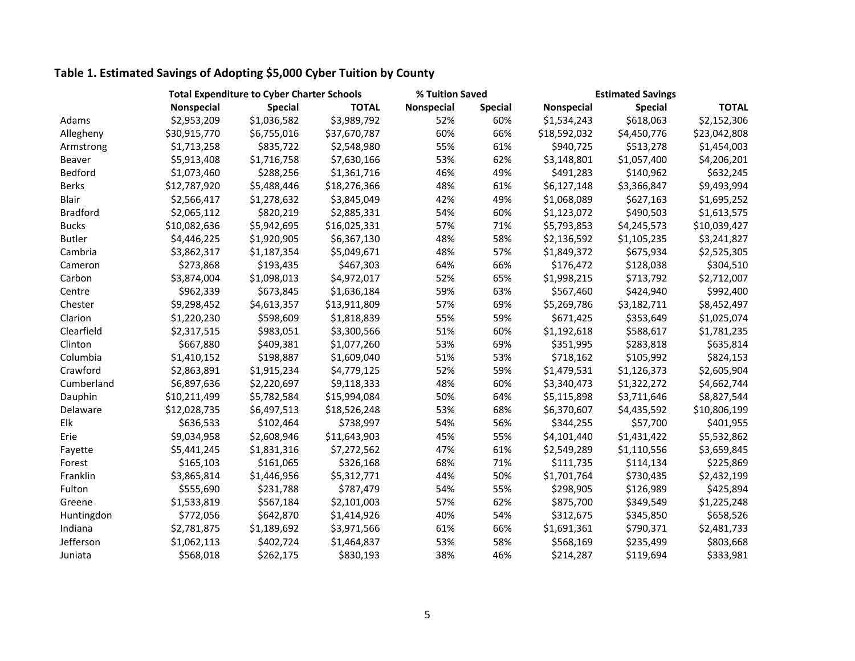## **Table 1. Estimated Savings of Adopting \$5,000 Cyber Tuition by County**

|                 | <b>Total Expenditure to Cyber Charter Schools</b> |                |              | % Tuition Saved |                | <b>Estimated Savings</b> |                |              |  |
|-----------------|---------------------------------------------------|----------------|--------------|-----------------|----------------|--------------------------|----------------|--------------|--|
|                 | Nonspecial                                        | <b>Special</b> | <b>TOTAL</b> | Nonspecial      | <b>Special</b> | Nonspecial               | <b>Special</b> | <b>TOTAL</b> |  |
| Adams           | \$2,953,209                                       | \$1,036,582    | \$3,989,792  | 52%             | 60%            | \$1,534,243              | \$618,063      | \$2,152,306  |  |
| Allegheny       | \$30,915,770                                      | \$6,755,016    | \$37,670,787 | 60%             | 66%            | \$18,592,032             | \$4,450,776    | \$23,042,808 |  |
| Armstrong       | \$1,713,258                                       | \$835,722      | \$2,548,980  | 55%             | 61%            | \$940,725                | \$513,278      | \$1,454,003  |  |
| Beaver          | \$5,913,408                                       | \$1,716,758    | \$7,630,166  | 53%             | 62%            | \$3,148,801              | \$1,057,400    | \$4,206,201  |  |
| Bedford         | \$1,073,460                                       | \$288,256      | \$1,361,716  | 46%             | 49%            | \$491,283                | \$140,962      | \$632,245    |  |
| <b>Berks</b>    | \$12,787,920                                      | \$5,488,446    | \$18,276,366 | 48%             | 61%            | \$6,127,148              | \$3,366,847    | \$9,493,994  |  |
| <b>Blair</b>    | \$2,566,417                                       | \$1,278,632    | \$3,845,049  | 42%             | 49%            | \$1,068,089              | \$627,163      | \$1,695,252  |  |
| <b>Bradford</b> | \$2,065,112                                       | \$820,219      | \$2,885,331  | 54%             | 60%            | \$1,123,072              | \$490,503      | \$1,613,575  |  |
| <b>Bucks</b>    | \$10,082,636                                      | \$5,942,695    | \$16,025,331 | 57%             | 71%            | \$5,793,853              | \$4,245,573    | \$10,039,427 |  |
| <b>Butler</b>   | \$4,446,225                                       | \$1,920,905    | \$6,367,130  | 48%             | 58%            | \$2,136,592              | \$1,105,235    | \$3,241,827  |  |
| Cambria         | \$3,862,317                                       | \$1,187,354    | \$5,049,671  | 48%             | 57%            | \$1,849,372              | \$675,934      | \$2,525,305  |  |
| Cameron         | \$273,868                                         | \$193,435      | \$467,303    | 64%             | 66%            | \$176,472                | \$128,038      | \$304,510    |  |
| Carbon          | \$3,874,004                                       | \$1,098,013    | \$4,972,017  | 52%             | 65%            | \$1,998,215              | \$713,792      | \$2,712,007  |  |
| Centre          | \$962,339                                         | \$673,845      | \$1,636,184  | 59%             | 63%            | \$567,460                | \$424,940      | \$992,400    |  |
| Chester         | \$9,298,452                                       | \$4,613,357    | \$13,911,809 | 57%             | 69%            | \$5,269,786              | \$3,182,711    | \$8,452,497  |  |
| Clarion         | \$1,220,230                                       | \$598,609      | \$1,818,839  | 55%             | 59%            | \$671,425                | \$353,649      | \$1,025,074  |  |
| Clearfield      | \$2,317,515                                       | \$983,051      | \$3,300,566  | 51%             | 60%            | \$1,192,618              | \$588,617      | \$1,781,235  |  |
| Clinton         | \$667,880                                         | \$409,381      | \$1,077,260  | 53%             | 69%            | \$351,995                | \$283,818      | \$635,814    |  |
| Columbia        | \$1,410,152                                       | \$198,887      | \$1,609,040  | 51%             | 53%            | \$718,162                | \$105,992      | \$824,153    |  |
| Crawford        | \$2,863,891                                       | \$1,915,234    | \$4,779,125  | 52%             | 59%            | \$1,479,531              | \$1,126,373    | \$2,605,904  |  |
| Cumberland      | \$6,897,636                                       | \$2,220,697    | \$9,118,333  | 48%             | 60%            | \$3,340,473              | \$1,322,272    | \$4,662,744  |  |
| Dauphin         | \$10,211,499                                      | \$5,782,584    | \$15,994,084 | 50%             | 64%            | \$5,115,898              | \$3,711,646    | \$8,827,544  |  |
| Delaware        | \$12,028,735                                      | \$6,497,513    | \$18,526,248 | 53%             | 68%            | \$6,370,607              | \$4,435,592    | \$10,806,199 |  |
| Elk             | \$636,533                                         | \$102,464      | \$738,997    | 54%             | 56%            | \$344,255                | \$57,700       | \$401,955    |  |
| Erie            | \$9,034,958                                       | \$2,608,946    | \$11,643,903 | 45%             | 55%            | \$4,101,440              | \$1,431,422    | \$5,532,862  |  |
| Fayette         | \$5,441,245                                       | \$1,831,316    | \$7,272,562  | 47%             | 61%            | \$2,549,289              | \$1,110,556    | \$3,659,845  |  |
| Forest          | \$165,103                                         | \$161,065      | \$326,168    | 68%             | 71%            | \$111,735                | \$114,134      | \$225,869    |  |
| Franklin        | \$3,865,814                                       | \$1,446,956    | \$5,312,771  | 44%             | 50%            | \$1,701,764              | \$730,435      | \$2,432,199  |  |
| Fulton          | \$555,690                                         | \$231,788      | \$787,479    | 54%             | 55%            | \$298,905                | \$126,989      | \$425,894    |  |
| Greene          | \$1,533,819                                       | \$567,184      | \$2,101,003  | 57%             | 62%            | \$875,700                | \$349,549      | \$1,225,248  |  |
| Huntingdon      | \$772,056                                         | \$642,870      | \$1,414,926  | 40%             | 54%            | \$312,675                | \$345,850      | \$658,526    |  |
| Indiana         | \$2,781,875                                       | \$1,189,692    | \$3,971,566  | 61%             | 66%            | \$1,691,361              | \$790,371      | \$2,481,733  |  |
| Jefferson       | \$1,062,113                                       | \$402,724      | \$1,464,837  | 53%             | 58%            | \$568,169                | \$235,499      | \$803,668    |  |
| Juniata         | \$568,018                                         | \$262,175      | \$830,193    | 38%             | 46%            | \$214,287                | \$119,694      | \$333,981    |  |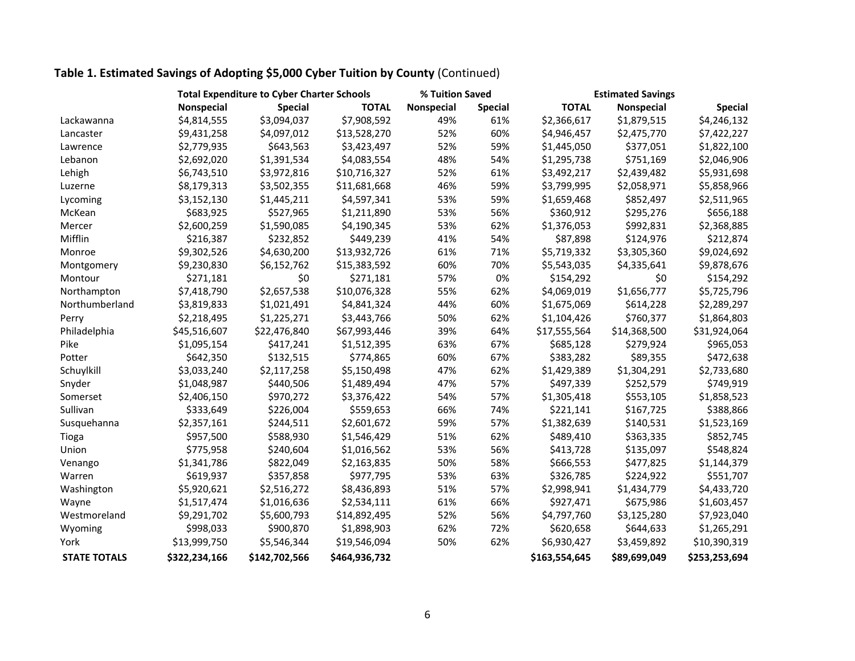## **Table 1. Estimated Savings of Adopting \$5,000 Cyber Tuition by County** (Continued)

|                     |               | <b>Total Expenditure to Cyber Charter Schools</b> |               |            | % Tuition Saved | <b>Estimated Savings</b> |                   |                |  |
|---------------------|---------------|---------------------------------------------------|---------------|------------|-----------------|--------------------------|-------------------|----------------|--|
|                     | Nonspecial    | <b>Special</b>                                    | <b>TOTAL</b>  | Nonspecial | <b>Special</b>  | <b>TOTAL</b>             | <b>Nonspecial</b> | <b>Special</b> |  |
| Lackawanna          | \$4,814,555   | \$3,094,037                                       | \$7,908,592   | 49%        | 61%             | \$2,366,617              | \$1,879,515       | \$4,246,132    |  |
| Lancaster           | \$9,431,258   | \$4,097,012                                       | \$13,528,270  | 52%        | 60%             | \$4,946,457              | \$2,475,770       | \$7,422,227    |  |
| Lawrence            | \$2,779,935   | \$643,563                                         | \$3,423,497   | 52%        | 59%             | \$1,445,050              | \$377,051         | \$1,822,100    |  |
| Lebanon             | \$2,692,020   | \$1,391,534                                       | \$4,083,554   | 48%        | 54%             | \$1,295,738              | \$751,169         | \$2,046,906    |  |
| Lehigh              | \$6,743,510   | \$3,972,816                                       | \$10,716,327  | 52%        | 61%             | \$3,492,217              | \$2,439,482       | \$5,931,698    |  |
| Luzerne             | \$8,179,313   | \$3,502,355                                       | \$11,681,668  | 46%        | 59%             | \$3,799,995              | \$2,058,971       | \$5,858,966    |  |
| Lycoming            | \$3,152,130   | \$1,445,211                                       | \$4,597,341   | 53%        | 59%             | \$1,659,468              | \$852,497         | \$2,511,965    |  |
| McKean              | \$683,925     | \$527,965                                         | \$1,211,890   | 53%        | 56%             | \$360,912                | \$295,276         | \$656,188      |  |
| Mercer              | \$2,600,259   | \$1,590,085                                       | \$4,190,345   | 53%        | 62%             | \$1,376,053              | \$992,831         | \$2,368,885    |  |
| Mifflin             | \$216,387     | \$232,852                                         | \$449,239     | 41%        | 54%             | \$87,898                 | \$124,976         | \$212,874      |  |
| Monroe              | \$9,302,526   | \$4,630,200                                       | \$13,932,726  | 61%        | 71%             | \$5,719,332              | \$3,305,360       | \$9,024,692    |  |
| Montgomery          | \$9,230,830   | \$6,152,762                                       | \$15,383,592  | 60%        | 70%             | \$5,543,035              | \$4,335,641       | \$9,878,676    |  |
| Montour             | \$271,181     | \$0                                               | \$271,181     | 57%        | 0%              | \$154,292                | \$0               | \$154,292      |  |
| Northampton         | \$7,418,790   | \$2,657,538                                       | \$10,076,328  | 55%        | 62%             | \$4,069,019              | \$1,656,777       | \$5,725,796    |  |
| Northumberland      | \$3,819,833   | \$1,021,491                                       | \$4,841,324   | 44%        | 60%             | \$1,675,069              | \$614,228         | \$2,289,297    |  |
| Perry               | \$2,218,495   | \$1,225,271                                       | \$3,443,766   | 50%        | 62%             | \$1,104,426              | \$760,377         | \$1,864,803    |  |
| Philadelphia        | \$45,516,607  | \$22,476,840                                      | \$67,993,446  | 39%        | 64%             | \$17,555,564             | \$14,368,500      | \$31,924,064   |  |
| Pike                | \$1,095,154   | \$417,241                                         | \$1,512,395   | 63%        | 67%             | \$685,128                | \$279,924         | \$965,053      |  |
| Potter              | \$642,350     | \$132,515                                         | \$774,865     | 60%        | 67%             | \$383,282                | \$89,355          | \$472,638      |  |
| Schuylkill          | \$3,033,240   | \$2,117,258                                       | \$5,150,498   | 47%        | 62%             | \$1,429,389              | \$1,304,291       | \$2,733,680    |  |
| Snyder              | \$1,048,987   | \$440,506                                         | \$1,489,494   | 47%        | 57%             | \$497,339                | \$252,579         | \$749,919      |  |
| Somerset            | \$2,406,150   | \$970,272                                         | \$3,376,422   | 54%        | 57%             | \$1,305,418              | \$553,105         | \$1,858,523    |  |
| Sullivan            | \$333,649     | \$226,004                                         | \$559,653     | 66%        | 74%             | \$221,141                | \$167,725         | \$388,866      |  |
| Susquehanna         | \$2,357,161   | \$244,511                                         | \$2,601,672   | 59%        | 57%             | \$1,382,639              | \$140,531         | \$1,523,169    |  |
| Tioga               | \$957,500     | \$588,930                                         | \$1,546,429   | 51%        | 62%             | \$489,410                | \$363,335         | \$852,745      |  |
| Union               | \$775,958     | \$240,604                                         | \$1,016,562   | 53%        | 56%             | \$413,728                | \$135,097         | \$548,824      |  |
| Venango             | \$1,341,786   | \$822,049                                         | \$2,163,835   | 50%        | 58%             | \$666,553                | \$477,825         | \$1,144,379    |  |
| Warren              | \$619,937     | \$357,858                                         | \$977,795     | 53%        | 63%             | \$326,785                | \$224,922         | \$551,707      |  |
| Washington          | \$5,920,621   | \$2,516,272                                       | \$8,436,893   | 51%        | 57%             | \$2,998,941              | \$1,434,779       | \$4,433,720    |  |
| Wayne               | \$1,517,474   | \$1,016,636                                       | \$2,534,111   | 61%        | 66%             | \$927,471                | \$675,986         | \$1,603,457    |  |
| Westmoreland        | \$9,291,702   | \$5,600,793                                       | \$14,892,495  | 52%        | 56%             | \$4,797,760              | \$3,125,280       | \$7,923,040    |  |
| Wyoming             | \$998,033     | \$900,870                                         | \$1,898,903   | 62%        | 72%             | \$620,658                | \$644,633         | \$1,265,291    |  |
| York                | \$13,999,750  | \$5,546,344                                       | \$19,546,094  | 50%        | 62%             | \$6,930,427              | \$3,459,892       | \$10,390,319   |  |
| <b>STATE TOTALS</b> | \$322,234,166 | \$142,702,566                                     | \$464,936,732 |            |                 | \$163,554,645            | \$89,699,049      | \$253,253,694  |  |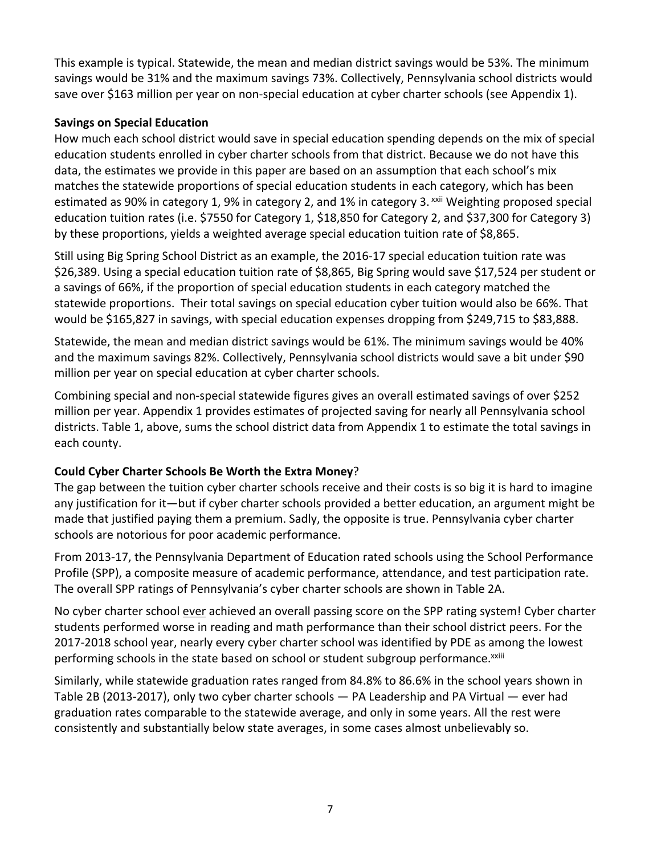This example is typical. Statewide, the mean and median district savings would be 53%. The minimum savings would be 31% and the maximum savings 73%. Collectively, Pennsylvania school districts would save over \$163 million per year on non-special education at cyber charter schools (see Appendix 1).

### **Savings on Special Education**

How much each school district would save in special education spending depends on the mix of special education students enrolled in cyber charter schools from that district. Because we do not have this data, the estimates we provide in this paper are based on an assumption that each school's mix matches the statewide proportions of special education students in each category, which has been estimated as 90% in category 1, 9% in category 2, and 1% in category 3. xxii Weighting proposed special education tuition rates (i.e. \$7550 for Category 1, \$18,850 for Category 2, and \$37,300 for Category 3) by these proportions, yields a weighted average special education tuition rate of \$8,865.

Still using Big Spring School District as an example, the 2016‐17 special education tuition rate was \$26,389. Using a special education tuition rate of \$8,865, Big Spring would save \$17,524 per student or a savings of 66%, if the proportion of special education students in each category matched the statewide proportions. Their total savings on special education cyber tuition would also be 66%. That would be \$165,827 in savings, with special education expenses dropping from \$249,715 to \$83,888.

Statewide, the mean and median district savings would be 61%. The minimum savings would be 40% and the maximum savings 82%. Collectively, Pennsylvania school districts would save a bit under \$90 million per year on special education at cyber charter schools.

Combining special and non‐special statewide figures gives an overall estimated savings of over \$252 million per year. Appendix 1 provides estimates of projected saving for nearly all Pennsylvania school districts. Table 1, above, sums the school district data from Appendix 1 to estimate the total savings in each county.

## **Could Cyber Charter Schools Be Worth the Extra Money**?

The gap between the tuition cyber charter schools receive and their costs is so big it is hard to imagine any justification for it—but if cyber charter schools provided a better education, an argument might be made that justified paying them a premium. Sadly, the opposite is true. Pennsylvania cyber charter schools are notorious for poor academic performance.

From 2013‐17, the Pennsylvania Department of Education rated schools using the School Performance Profile (SPP), a composite measure of academic performance, attendance, and test participation rate. The overall SPP ratings of Pennsylvania's cyber charter schools are shown in Table 2A.

No cyber charter school ever achieved an overall passing score on the SPP rating system! Cyber charter students performed worse in reading and math performance than their school district peers. For the 2017‐2018 school year, nearly every cyber charter school was identified by PDE as among the lowest performing schools in the state based on school or student subgroup performance.<sup>xxiii</sup>

Similarly, while statewide graduation rates ranged from 84.8% to 86.6% in the school years shown in Table 2B (2013-2017), only two cyber charter schools — PA Leadership and PA Virtual — ever had graduation rates comparable to the statewide average, and only in some years. All the rest were consistently and substantially below state averages, in some cases almost unbelievably so.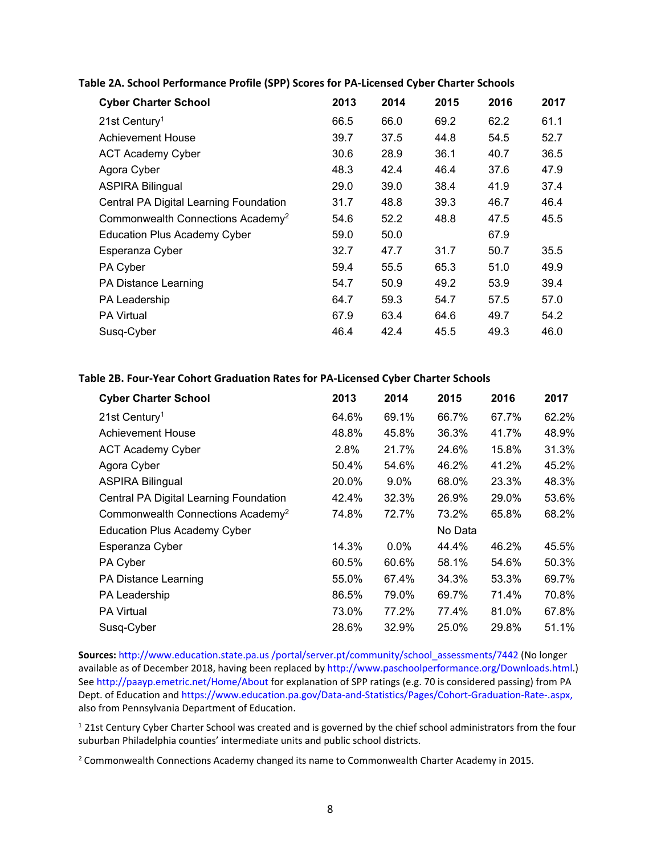| <b>Cyber Charter School</b>                   | 2013 | 2014 | 2015 | 2016 | 2017 |
|-----------------------------------------------|------|------|------|------|------|
| $21st$ Century <sup>1</sup>                   | 66.5 | 66.0 | 69.2 | 62.2 | 61.1 |
| <b>Achievement House</b>                      | 39.7 | 37.5 | 44.8 | 54.5 | 52.7 |
| <b>ACT Academy Cyber</b>                      | 30.6 | 28.9 | 36.1 | 40.7 | 36.5 |
| Agora Cyber                                   | 48.3 | 42.4 | 46.4 | 37.6 | 47.9 |
| <b>ASPIRA Bilingual</b>                       | 29.0 | 39.0 | 38.4 | 41.9 | 37.4 |
| Central PA Digital Learning Foundation        | 31.7 | 48.8 | 39.3 | 46.7 | 46.4 |
| Commonwealth Connections Academy <sup>2</sup> | 54.6 | 52.2 | 48.8 | 47.5 | 45.5 |
| <b>Education Plus Academy Cyber</b>           | 59.0 | 50.0 |      | 67.9 |      |
| Esperanza Cyber                               | 32.7 | 47.7 | 31.7 | 50.7 | 35.5 |
| PA Cyber                                      | 59.4 | 55.5 | 65.3 | 51.0 | 49.9 |
| PA Distance Learning                          | 54.7 | 50.9 | 49.2 | 53.9 | 39.4 |
| PA Leadership                                 | 64.7 | 59.3 | 54.7 | 57.5 | 57.0 |
| <b>PA Virtual</b>                             | 67.9 | 63.4 | 64.6 | 49.7 | 54.2 |
| Susq-Cyber                                    | 46.4 | 42.4 | 45.5 | 49.3 | 46.0 |

#### **Table 2A. School Performance Profile (SPP) Scores for PA‐Licensed Cyber Charter Schools**

#### **Table 2B. Four‐Year Cohort Graduation Rates for PA‐Licensed Cyber Charter Schools**

| <b>Cyber Charter School</b>                   | 2013  | 2014    | 2015    | 2016  | 2017  |
|-----------------------------------------------|-------|---------|---------|-------|-------|
| $21st$ Century <sup>1</sup>                   | 64.6% | 69.1%   | 66.7%   | 67.7% | 62.2% |
| Achievement House                             | 48.8% | 45.8%   | 36.3%   | 41.7% | 48.9% |
| <b>ACT Academy Cyber</b>                      | 2.8%  | 21.7%   | 24.6%   | 15.8% | 31.3% |
| Agora Cyber                                   | 50.4% | 54.6%   | 46.2%   | 41.2% | 45.2% |
| <b>ASPIRA Bilingual</b>                       | 20.0% | $9.0\%$ | 68.0%   | 23.3% | 48.3% |
| Central PA Digital Learning Foundation        | 42.4% | 32.3%   | 26.9%   | 29.0% | 53.6% |
| Commonwealth Connections Academy <sup>2</sup> | 74.8% | 72.7%   | 73.2%   | 65.8% | 68.2% |
| <b>Education Plus Academy Cyber</b>           |       |         | No Data |       |       |
| Esperanza Cyber                               | 14.3% | 0.0%    | 44.4%   | 46.2% | 45.5% |
| PA Cyber                                      | 60.5% | 60.6%   | 58.1%   | 54.6% | 50.3% |
| PA Distance Learning                          | 55.0% | 67.4%   | 34.3%   | 53.3% | 69.7% |
| PA Leadership                                 | 86.5% | 79.0%   | 69.7%   | 71.4% | 70.8% |
| <b>PA Virtual</b>                             | 73.0% | 77.2%   | 77.4%   | 81.0% | 67.8% |
| Susq-Cyber                                    | 28.6% | 32.9%   | 25.0%   | 29.8% | 51.1% |

**Sources:** http://www.education.state.pa.us /portal/server.pt/community/school\_assessments/7442 (No longer available as of December 2018, having been replaced by http://www.paschoolperformance.org/Downloads.html.) See http://paayp.emetric.net/Home/About for explanation of SPP ratings (e.g. 70 is considered passing) from PA Dept. of Education and https://www.education.pa.gov/Data-and-Statistics/Pages/Cohort-Graduation-Rate-.aspx, also from Pennsylvania Department of Education.

<sup>1</sup> 21st Century Cyber Charter School was created and is governed by the chief school administrators from the four suburban Philadelphia counties' intermediate units and public school districts.

<sup>2</sup> Commonwealth Connections Academy changed its name to Commonwealth Charter Academy in 2015.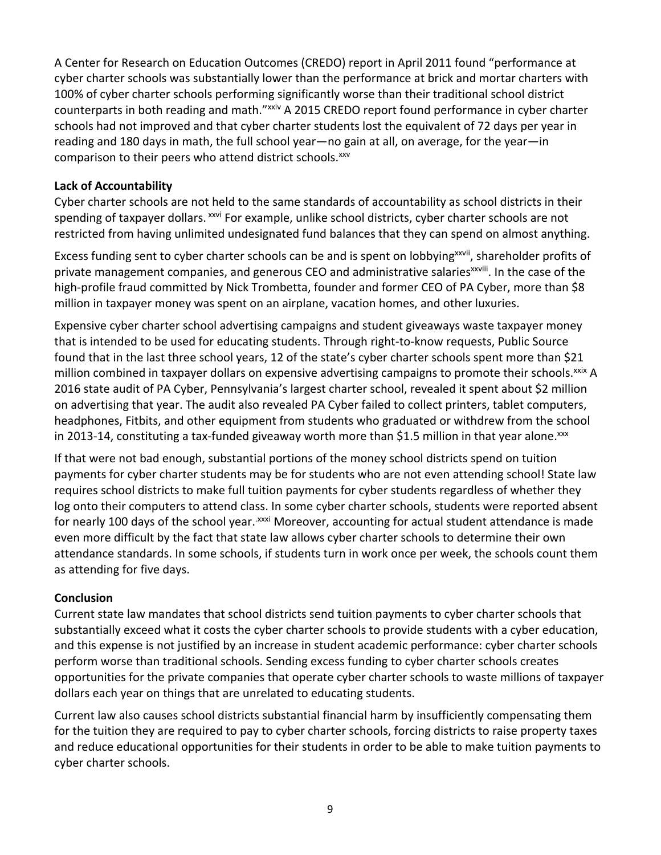A Center for Research on Education Outcomes (CREDO) report in April 2011 found "performance at cyber charter schools was substantially lower than the performance at brick and mortar charters with 100% of cyber charter schools performing significantly worse than their traditional school district counterparts in both reading and math."<sup>xxiv</sup> A 2015 CREDO report found performance in cyber charter schools had not improved and that cyber charter students lost the equivalent of 72 days per year in reading and 180 days in math, the full school year—no gain at all, on average, for the year—in comparison to their peers who attend district schools.<sup>xxv</sup>

### **Lack of Accountability**

Cyber charter schools are not held to the same standards of accountability as school districts in their spending of taxpayer dollars. xxvi For example, unlike school districts, cyber charter schools are not restricted from having unlimited undesignated fund balances that they can spend on almost anything.

Excess funding sent to cyber charter schools can be and is spent on lobbying<sup>xxvii</sup>, shareholder profits of private management companies, and generous CEO and administrative salaries<sup>xxviii</sup>. In the case of the high-profile fraud committed by Nick Trombetta, founder and former CEO of PA Cyber, more than \$8 million in taxpayer money was spent on an airplane, vacation homes, and other luxuries.

Expensive cyber charter school advertising campaigns and student giveaways waste taxpayer money that is intended to be used for educating students. Through right‐to‐know requests, Public Source found that in the last three school years, 12 of the state's cyber charter schools spent more than \$21 million combined in taxpayer dollars on expensive advertising campaigns to promote their schools.<sup>xxix</sup> A 2016 state audit of PA Cyber, Pennsylvania's largest charter school, revealed it spent about \$2 million on advertising that year. The audit also revealed PA Cyber failed to collect printers, tablet computers, headphones, Fitbits, and other equipment from students who graduated or withdrew from the school in 2013-14, constituting a tax-funded giveaway worth more than \$1.5 million in that year alone.<sup>xxx</sup>

If that were not bad enough, substantial portions of the money school districts spend on tuition payments for cyber charter students may be for students who are not even attending school! State law requires school districts to make full tuition payments for cyber students regardless of whether they log onto their computers to attend class. In some cyber charter schools, students were reported absent for nearly 100 days of the school year.<sup>xxxi</sup> Moreover, accounting for actual student attendance is made even more difficult by the fact that state law allows cyber charter schools to determine their own attendance standards. In some schools, if students turn in work once per week, the schools count them as attending for five days.

## **Conclusion**

Current state law mandates that school districts send tuition payments to cyber charter schools that substantially exceed what it costs the cyber charter schools to provide students with a cyber education, and this expense is not justified by an increase in student academic performance: cyber charter schools perform worse than traditional schools. Sending excess funding to cyber charter schools creates opportunities for the private companies that operate cyber charter schools to waste millions of taxpayer dollars each year on things that are unrelated to educating students.

Current law also causes school districts substantial financial harm by insufficiently compensating them for the tuition they are required to pay to cyber charter schools, forcing districts to raise property taxes and reduce educational opportunities for their students in order to be able to make tuition payments to cyber charter schools.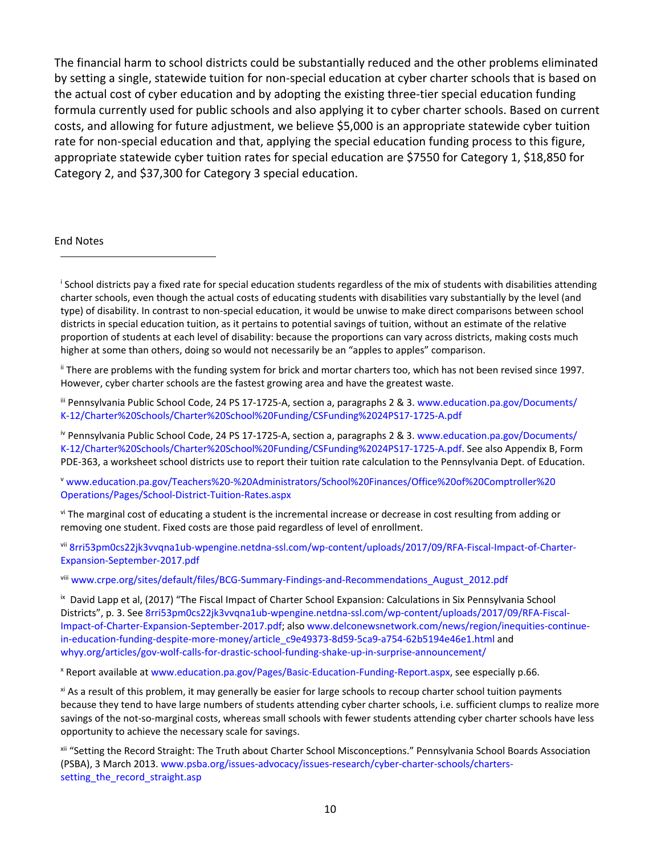The financial harm to school districts could be substantially reduced and the other problems eliminated by setting a single, statewide tuition for non‐special education at cyber charter schools that is based on the actual cost of cyber education and by adopting the existing three‐tier special education funding formula currently used for public schools and also applying it to cyber charter schools. Based on current costs, and allowing for future adjustment, we believe \$5,000 is an appropriate statewide cyber tuition rate for non‐special education and that, applying the special education funding process to this figure, appropriate statewide cyber tuition rates for special education are \$7550 for Category 1, \$18,850 for Category 2, and \$37,300 for Category 3 special education.

End Notes

i School districts pay a fixed rate for special education students regardless of the mix of students with disabilities attending charter schools, even though the actual costs of educating students with disabilities vary substantially by the level (and type) of disability. In contrast to non‐special education, it would be unwise to make direct comparisons between school districts in special education tuition, as it pertains to potential savings of tuition, without an estimate of the relative proportion of students at each level of disability: because the proportions can vary across districts, making costs much higher at some than others, doing so would not necessarily be an "apples to apples" comparison.

ii There are problems with the funding system for brick and mortar charters too, which has not been revised since 1997. However, cyber charter schools are the fastest growing area and have the greatest waste.

iii Pennsylvania Public School Code, 24 PS 17-1725-A, section a, paragraphs 2 & 3. www.education.pa.gov/Documents/ K‐12/Charter%20Schools/Charter%20School%20Funding/CSFunding%2024PS17‐1725‐A.pdf

iv Pennsylvania Public School Code, 24 PS 17‐1725‐A, section a, paragraphs 2 & 3. www.education.pa.gov/Documents/ K‐12/Charter%20Schools/Charter%20School%20Funding/CSFunding%2024PS17‐1725‐A.pdf. See also Appendix B, Form PDE‐363, a worksheet school districts use to report their tuition rate calculation to the Pennsylvania Dept. of Education.

<sup>v</sup> www.education.pa.gov/Teachers%20‐%20Administrators/School%20Finances/Office%20of%20Comptroller%20 Operations/Pages/School‐District‐Tuition‐Rates.aspx

vi The marginal cost of educating a student is the incremental increase or decrease in cost resulting from adding or removing one student. Fixed costs are those paid regardless of level of enrollment.

vii 8rri53pm0cs22jk3vvqna1ub‐wpengine.netdna‐ssl.com/wp‐content/uploads/2017/09/RFA‐Fiscal‐Impact‐of‐Charter‐ Expansion‐September‐2017.pdf

viii www.crpe.org/sites/default/files/BCG-Summary-Findings-and-Recommendations\_August\_2012.pdf

ix David Lapp et al, (2017) "The Fiscal Impact of Charter School Expansion: Calculations in Six Pennsylvania School Districts", p. 3. See 8rri53pm0cs22jk3vvqna1ub‐wpengine.netdna‐ssl.com/wp‐content/uploads/2017/09/RFA‐Fiscal‐ Impact‐of‐Charter‐Expansion‐September‐2017.pdf; also www.delconewsnetwork.com/news/region/inequities‐continue‐ in-education-funding-despite-more-money/article\_c9e49373-8d59-5ca9-a754-62b5194e46e1.html and whyy.org/articles/gov-wolf-calls-for-drastic-school-funding-shake-up-in-surprise-announcement/

x Report available at www.education.pa.gov/Pages/Basic‐Education‐Funding‐Report.aspx, see especially p.66.

xi As a result of this problem, it may generally be easier for large schools to recoup charter school tuition payments because they tend to have large numbers of students attending cyber charter schools, i.e. sufficient clumps to realize more savings of the not-so-marginal costs, whereas small schools with fewer students attending cyber charter schools have less opportunity to achieve the necessary scale for savings.

xii "Setting the Record Straight: The Truth about Charter School Misconceptions." Pennsylvania School Boards Association (PSBA), 3 March 2013. www.psba.org/issues‐advocacy/issues‐research/cyber‐charter‐schools/charters‐ setting the record straight.asp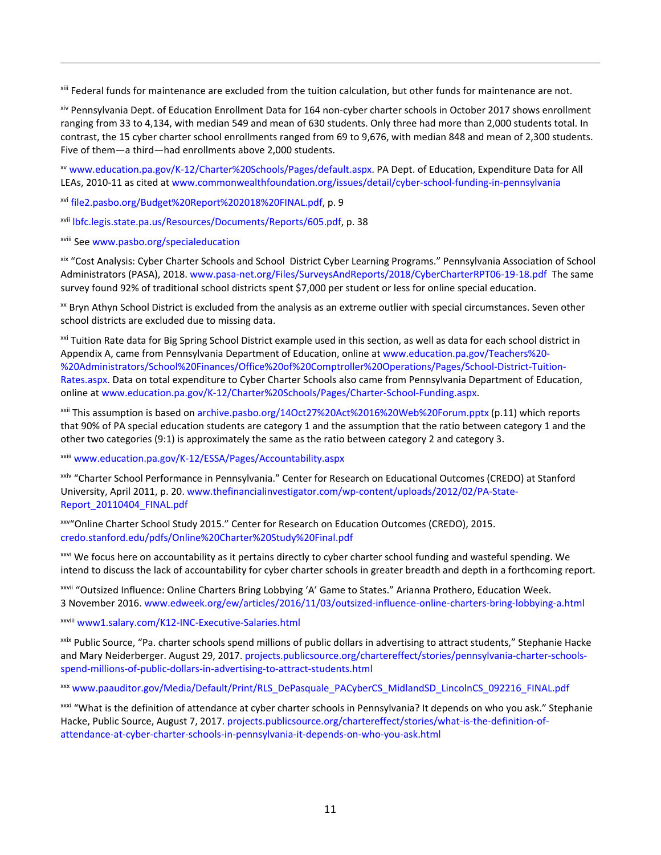xiii Federal funds for maintenance are excluded from the tuition calculation, but other funds for maintenance are not.

xiv Pennsylvania Dept. of Education Enrollment Data for 164 non‐cyber charter schools in October 2017 shows enrollment ranging from 33 to 4,134, with median 549 and mean of 630 students. Only three had more than 2,000 students total. In contrast, the 15 cyber charter school enrollments ranged from 69 to 9,676, with median 848 and mean of 2,300 students. Five of them—a third—had enrollments above 2,000 students.

<u> 1989 - Andrea Santa Andrea Andrea Andrea Andrea Andrea Andrea Andrea Andrea Andrea Andrea Andrea Andrea Andr</u>

xv www.education.pa.gov/K‐12/Charter%20Schools/Pages/default.aspx. PA Dept. of Education, Expenditure Data for All LEAs, 2010‐11 as cited at www.commonwealthfoundation.org/issues/detail/cyber‐school‐funding‐in‐pennsylvania

xvi file2.pasbo.org/Budget%20Report%202018%20FINAL.pdf, p. 9

xvii lbfc.legis.state.pa.us/Resources/Documents/Reports/605.pdf, p. 38

xviii See www.pasbo.org/specialeducation

xix "Cost Analysis: Cyber Charter Schools and School District Cyber Learning Programs." Pennsylvania Association of School Administrators (PASA), 2018. www.pasa‐net.org/Files/SurveysAndReports/2018/CyberCharterRPT06‐19‐18.pdf The same survey found 92% of traditional school districts spent \$7,000 per student or less for online special education.

xx Bryn Athyn School District is excluded from the analysis as an extreme outlier with special circumstances. Seven other school districts are excluded due to missing data.

xxi Tuition Rate data for Big Spring School District example used in this section, as well as data for each school district in Appendix A, came from Pennsylvania Department of Education, online at www.education.pa.gov/Teachers%20‐ %20Administrators/School%20Finances/Office%20of%20Comptroller%20Operations/Pages/School-District-Tuition-Rates.aspx. Data on total expenditure to Cyber Charter Schools also came from Pennsylvania Department of Education, online at www.education.pa.gov/K‐12/Charter%20Schools/Pages/Charter‐School‐Funding.aspx.

xxii This assumption is based on archive.pasbo.org/14Oct27%20Act%2016%20Web%20Forum.pptx (p.11) which reports that 90% of PA special education students are category 1 and the assumption that the ratio between category 1 and the other two categories (9:1) is approximately the same as the ratio between category 2 and category 3.

xxiii www.education.pa.gov/K‐12/ESSA/Pages/Accountability.aspx

xxiv "Charter School Performance in Pennsylvania." Center for Research on Educational Outcomes (CREDO) at Stanford University, April 2011, p. 20. www.thefinancialinvestigator.com/wp‐content/uploads/2012/02/PA‐State‐ Report\_20110404\_FINAL.pdf

xxv"Online Charter School Study 2015." Center for Research on Education Outcomes (CREDO), 2015. credo.stanford.edu/pdfs/Online%20Charter%20Study%20Final.pdf

xxvi We focus here on accountability as it pertains directly to cyber charter school funding and wasteful spending. We intend to discuss the lack of accountability for cyber charter schools in greater breadth and depth in a forthcoming report.

xxvii "Outsized Influence: Online Charters Bring Lobbying 'A' Game to States." Arianna Prothero, Education Week. 3 November 2016. www.edweek.org/ew/articles/2016/11/03/outsized‐influence‐online‐charters‐bring‐lobbying‐a.html

xxviii www1.salary.com/K12‐INC‐Executive‐Salaries.html

xxix Public Source, "Pa. charter schools spend millions of public dollars in advertising to attract students," Stephanie Hacke and Mary Neiderberger. August 29, 2017. projects.publicsource.org/chartereffect/stories/pennsylvania-charter-schoolsspend‐millions‐of‐public‐dollars‐in‐advertising‐to‐attract‐students.html

xxx www.paauditor.gov/Media/Default/Print/RLS\_DePasquale\_PACyberCS\_MidlandSD\_LincolnCS\_092216\_FINAL.pdf

xxxi "What is the definition of attendance at cyber charter schools in Pennsylvania? It depends on who you ask." Stephanie Hacke, Public Source, August 7, 2017. projects.publicsource.org/chartereffect/stories/what-is-the-definition-ofattendance‐at‐cyber‐charter‐schools‐in‐pennsylvania‐it‐depends‐on‐who‐you‐ask.html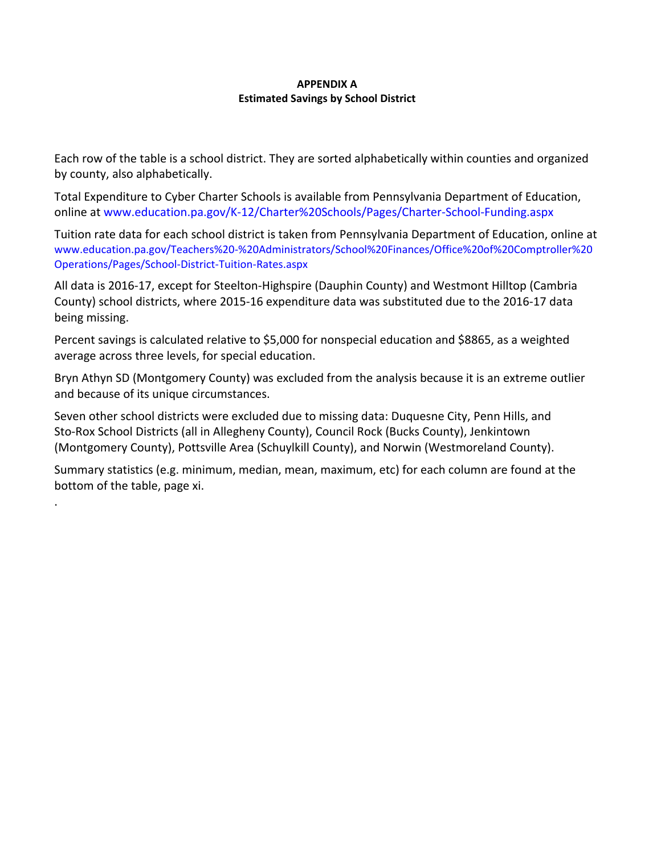#### **APPENDIX A Estimated Savings by School District**

Each row of the table is a school district. They are sorted alphabetically within counties and organized by county, also alphabetically.

Total Expenditure to Cyber Charter Schools is available from Pennsylvania Department of Education, online at www.education.pa.gov/K‐12/Charter%20Schools/Pages/Charter‐School‐Funding.aspx

Tuition rate data for each school district is taken from Pennsylvania Department of Education, online at www.education.pa.gov/Teachers%20‐%20Administrators/School%20Finances/Office%20of%20Comptroller%20 Operations/Pages/School‐District‐Tuition‐Rates.aspx

All data is 2016‐17, except for Steelton‐Highspire (Dauphin County) and Westmont Hilltop (Cambria County) school districts, where 2015‐16 expenditure data was substituted due to the 2016‐17 data being missing.

Percent savings is calculated relative to \$5,000 for nonspecial education and \$8865, as a weighted average across three levels, for special education.

Bryn Athyn SD (Montgomery County) was excluded from the analysis because it is an extreme outlier and because of its unique circumstances.

Seven other school districts were excluded due to missing data: Duquesne City, Penn Hills, and Sto‐Rox School Districts (all in Allegheny County), Council Rock (Bucks County), Jenkintown (Montgomery County), Pottsville Area (Schuylkill County), and Norwin (Westmoreland County).

.

Summary statistics (e.g. minimum, median, mean, maximum, etc) for each column are found at the bottom of the table, page xi.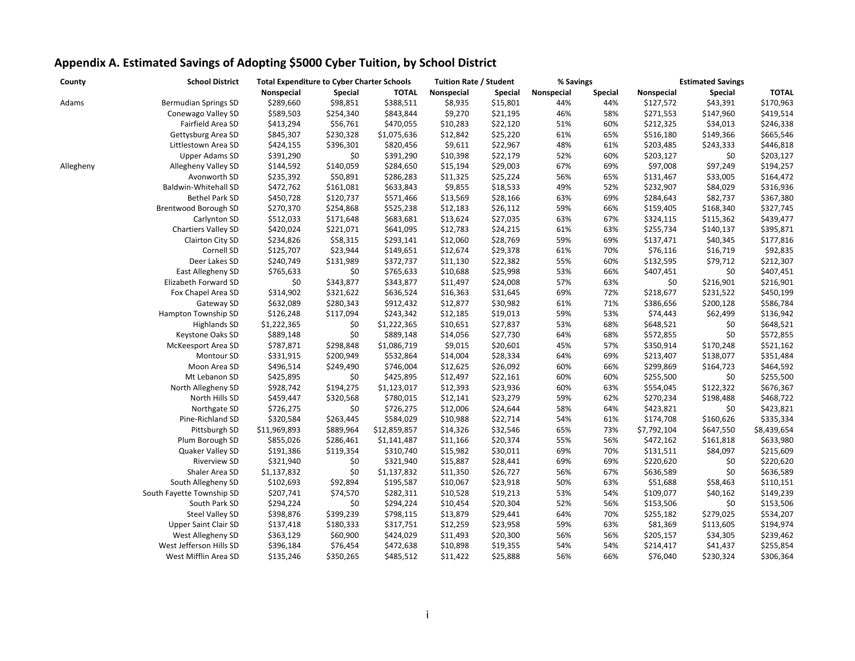| County    | <b>School District</b>      | <b>Total Expenditure to Cyber Charter Schools</b> |                |              | <b>Tuition Rate / Student</b> |                | % Savings  |                | <b>Estimated Savings</b> |                |              |
|-----------|-----------------------------|---------------------------------------------------|----------------|--------------|-------------------------------|----------------|------------|----------------|--------------------------|----------------|--------------|
|           |                             | Nonspecial                                        | <b>Special</b> | <b>TOTAL</b> | Nonspecial                    | <b>Special</b> | Nonspecial | <b>Special</b> | Nonspecial               | <b>Special</b> | <b>TOTAL</b> |
| Adams     | <b>Bermudian Springs SD</b> | \$289,660                                         | \$98,851       | \$388,511    | \$8,935                       | \$15,801       | 44%        | 44%            | \$127,572                | \$43,391       | \$170,963    |
|           | Conewago Valley SD          | \$589,503                                         | \$254,340      | \$843,844    | \$9,270                       | \$21,195       | 46%        | 58%            | \$271,553                | \$147,960      | \$419,514    |
|           | Fairfield Area SD           | \$413,294                                         | \$56,761       | \$470,055    | \$10,283                      | \$22,120       | 51%        | 60%            | \$212,325                | \$34,013       | \$246,338    |
|           | Gettysburg Area SD          | \$845,307                                         | \$230,328      | \$1,075,636  | \$12,842                      | \$25,220       | 61%        | 65%            | \$516,180                | \$149,366      | \$665,546    |
|           | Littlestown Area SD         | \$424,155                                         | \$396,301      | \$820,456    | \$9,611                       | \$22,967       | 48%        | 61%            | \$203,485                | \$243,333      | \$446,818    |
|           | Upper Adams SD              | \$391,290                                         | \$0            | \$391,290    | \$10,398                      | \$22,179       | 52%        | 60%            | \$203,127                | \$0            | \$203,127    |
| Allegheny | Allegheny Valley SD         | \$144,592                                         | \$140,059      | \$284,650    | \$15,194                      | \$29,003       | 67%        | 69%            | \$97,008                 | \$97,249       | \$194,257    |
|           | Avonworth SD                | \$235,392                                         | \$50,891       | \$286,283    | \$11,325                      | \$25,224       | 56%        | 65%            | \$131,467                | \$33,005       | \$164,472    |
|           | Baldwin-Whitehall SD        | \$472,762                                         | \$161,081      | \$633,843    | \$9,855                       | \$18,533       | 49%        | 52%            | \$232,907                | \$84,029       | \$316,936    |
|           | <b>Bethel Park SD</b>       | \$450,728                                         | \$120,737      | \$571,466    | \$13,569                      | \$28,166       | 63%        | 69%            | \$284,643                | \$82,737       | \$367,380    |
|           | Brentwood Borough SD        | \$270,370                                         | \$254,868      | \$525,238    | \$12,183                      | \$26,112       | 59%        | 66%            | \$159,405                | \$168,340      | \$327,745    |
|           | Carlynton SD                | \$512,033                                         | \$171,648      | \$683,681    | \$13,624                      | \$27,035       | 63%        | 67%            | \$324,115                | \$115,362      | \$439,477    |
|           | Chartiers Valley SD         | \$420,024                                         | \$221,071      | \$641,095    | \$12,783                      | \$24,215       | 61%        | 63%            | \$255,734                | \$140,137      | \$395,871    |
|           | Clairton City SD            | \$234,826                                         | \$58,315       | \$293,141    | \$12,060                      | \$28,769       | 59%        | 69%            | \$137,471                | \$40,345       | \$177,816    |
|           | Cornell SD                  | \$125,707                                         | \$23,944       | \$149,651    | \$12,674                      | \$29,378       | 61%        | 70%            | \$76,116                 | \$16,719       | \$92,835     |
|           | Deer Lakes SD               | \$240,749                                         | \$131,989      | \$372,737    | \$11,130                      | \$22,382       | 55%        | 60%            | \$132,595                | \$79,712       | \$212,307    |
|           | East Allegheny SD           | \$765,633                                         | \$0            | \$765,633    | \$10,688                      | \$25,998       | 53%        | 66%            | \$407,451                | \$0            | \$407,451    |
|           | Elizabeth Forward SD        | \$0                                               | \$343,877      | \$343,877    | \$11,497                      | \$24,008       | 57%        | 63%            | \$0                      | \$216,901      | \$216,901    |
|           | Fox Chapel Area SD          | \$314,902                                         | \$321,622      | \$636,524    | \$16,363                      | \$31,645       | 69%        | 72%            | \$218,677                | \$231,522      | \$450,199    |
|           | Gateway SD                  | \$632,089                                         | \$280,343      | \$912,432    | \$12,877                      | \$30,982       | 61%        | 71%            | \$386,656                | \$200,128      | \$586,784    |
|           | Hampton Township SD         | \$126,248                                         | \$117,094      | \$243,342    | \$12,185                      | \$19,013       | 59%        | 53%            | \$74,443                 | \$62,499       | \$136,942    |
|           | <b>Highlands SD</b>         | \$1,222,365                                       | \$0            | \$1,222,365  | \$10,651                      | \$27,837       | 53%        | 68%            | \$648,521                | \$0            | \$648,521    |
|           | Keystone Oaks SD            | \$889,148                                         | \$0            | \$889,148    | \$14,056                      | \$27,730       | 64%        | 68%            | \$572,855                | \$0            | \$572,855    |
|           | McKeesport Area SD          | \$787,871                                         | \$298,848      | \$1,086,719  | \$9,015                       | \$20,601       | 45%        | 57%            | \$350,914                | \$170,248      | \$521,162    |
|           | Montour SD                  | \$331,915                                         | \$200,949      | \$532,864    | \$14,004                      | \$28,334       | 64%        | 69%            | \$213,407                | \$138,077      | \$351,484    |
|           | Moon Area SD                | \$496,514                                         | \$249,490      | \$746,004    | \$12,625                      | \$26,092       | 60%        | 66%            | \$299,869                | \$164,723      | \$464,592    |
|           | Mt Lebanon SD               | \$425,895                                         | \$0            | \$425,895    | \$12,497                      | \$22,161       | 60%        | 60%            | \$255,500                | \$0            | \$255,500    |
|           | North Allegheny SD          | \$928,742                                         | \$194,275      | \$1,123,017  | \$12,393                      | \$23,936       | 60%        | 63%            | \$554,045                | \$122,322      | \$676,367    |
|           | North Hills SD              | \$459,447                                         | \$320,568      | \$780,015    | \$12,141                      | \$23,279       | 59%        | 62%            | \$270,234                | \$198,488      | \$468,722    |
|           | Northgate SD                | \$726,275                                         | \$0            | \$726,275    | \$12,006                      | \$24,644       | 58%        | 64%            | \$423,821                | \$0            | \$423,821    |
|           | Pine-Richland SD            | \$320,584                                         | \$263,445      | \$584,029    | \$10,988                      | \$22,714       | 54%        | 61%            | \$174,708                | \$160,626      | \$335,334    |
|           | Pittsburgh SD               | \$11,969,893                                      | \$889,964      | \$12,859,857 | \$14,326                      | \$32,546       | 65%        | 73%            | \$7,792,104              | \$647,550      | \$8,439,654  |
|           | Plum Borough SD             | \$855,026                                         | \$286,461      | \$1,141,487  | \$11,166                      | \$20,374       | 55%        | 56%            | \$472,162                | \$161,818      | \$633,980    |
|           | Quaker Valley SD            | \$191,386                                         | \$119,354      | \$310,740    | \$15,982                      | \$30,011       | 69%        | 70%            | \$131,511                | \$84,097       | \$215,609    |
|           | <b>Riverview SD</b>         | \$321,940                                         | \$0            | \$321,940    | \$15,887                      | \$28,441       | 69%        | 69%            | \$220,620                | \$0            | \$220,620    |
|           | Shaler Area SD              | \$1,137,832                                       | \$0            | \$1,137,832  | \$11,350                      | \$26,727       | 56%        | 67%            | \$636,589                | \$0            | \$636,589    |
|           | South Allegheny SD          | \$102,693                                         | \$92,894       | \$195,587    | \$10,067                      | \$23,918       | 50%        | 63%            | \$51,688                 | \$58,463       | \$110,151    |
|           | South Fayette Township SD   | \$207,741                                         | \$74,570       | \$282,311    | \$10,528                      | \$19,213       | 53%        | 54%            | \$109,077                | \$40,162       | \$149,239    |
|           | South Park SD               | \$294,224                                         | \$0            | \$294,224    | \$10,454                      | \$20,304       | 52%        | 56%            | \$153,506                | \$0            | \$153,506    |
|           | <b>Steel Valley SD</b>      | \$398,876                                         | \$399,239      | \$798,115    | \$13,879                      | \$29,441       | 64%        | 70%            | \$255,182                | \$279,025      | \$534,207    |
|           | <b>Upper Saint Clair SD</b> | \$137,418                                         | \$180,333      | \$317,751    | \$12,259                      | \$23,958       | 59%        | 63%            | \$81,369                 | \$113,605      | \$194,974    |
|           | West Allegheny SD           | \$363,129                                         | \$60,900       | \$424,029    | \$11,493                      | \$20,300       | 56%        | 56%            | \$205,157                | \$34,305       | \$239,462    |
|           | West Jefferson Hills SD     | \$396,184                                         | \$76,454       | \$472,638    | \$10,898                      | \$19,355       | 54%        | 54%            | \$214,417                | \$41,437       | \$255,854    |
|           | West Mifflin Area SD        | \$135,246                                         | \$350,265      | \$485,512    | \$11,422                      | \$25,888       | 56%        | 66%            | \$76,040                 | \$230,324      | \$306,364    |
|           |                             |                                                   |                |              |                               |                |            |                |                          |                |              |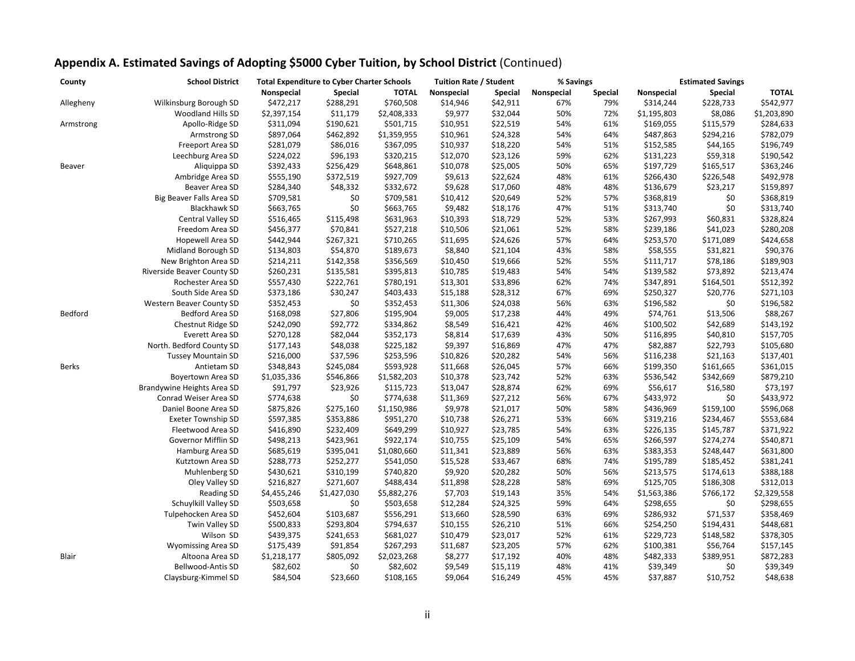| County    | <b>School District</b>          | <b>Total Expenditure to Cyber Charter Schools</b> |             |              | <b>Tuition Rate / Student</b> |                | % Savings  |                | <b>Estimated Savings</b> |                |              |
|-----------|---------------------------------|---------------------------------------------------|-------------|--------------|-------------------------------|----------------|------------|----------------|--------------------------|----------------|--------------|
|           |                                 | Nonspecial                                        | Special     | <b>TOTAL</b> | Nonspecial                    | <b>Special</b> | Nonspecial | <b>Special</b> | Nonspecial               | <b>Special</b> | <b>TOTAL</b> |
| Allegheny | Wilkinsburg Borough SD          | \$472,217                                         | \$288,291   | \$760,508    | \$14,946                      | \$42,911       | 67%        | 79%            | \$314,244                | \$228,733      | \$542,977    |
|           | Woodland Hills SD               | \$2,397,154                                       | \$11,179    | \$2,408,333  | \$9,977                       | \$32,044       | 50%        | 72%            | \$1,195,803              | \$8,086        | \$1,203,890  |
| Armstrong | Apollo-Ridge SD                 | \$311,094                                         | \$190,621   | \$501,715    | \$10,951                      | \$22,519       | 54%        | 61%            | \$169,055                | \$115,579      | \$284,633    |
|           | Armstrong SD                    | \$897,064                                         | \$462,892   | \$1,359,955  | \$10,961                      | \$24,328       | 54%        | 64%            | \$487,863                | \$294,216      | \$782,079    |
|           | Freeport Area SD                | \$281,079                                         | \$86,016    | \$367,095    | \$10,937                      | \$18,220       | 54%        | 51%            | \$152,585                | \$44,165       | \$196,749    |
|           | Leechburg Area SD               | \$224,022                                         | \$96,193    | \$320,215    | \$12,070                      | \$23,126       | 59%        | 62%            | \$131,223                | \$59,318       | \$190,542    |
| Beaver    | Aliquippa SD                    | \$392,433                                         | \$256,429   | \$648,861    | \$10,078                      | \$25,005       | 50%        | 65%            | \$197,729                | \$165,517      | \$363,246    |
|           | Ambridge Area SD                | \$555,190                                         | \$372,519   | \$927,709    | \$9,613                       | \$22,624       | 48%        | 61%            | \$266,430                | \$226,548      | \$492,978    |
|           | Beaver Area SD                  | \$284,340                                         | \$48,332    | \$332,672    | \$9,628                       | \$17,060       | 48%        | 48%            | \$136,679                | \$23,217       | \$159,897    |
|           | Big Beaver Falls Area SD        | \$709,581                                         | \$0         | \$709,581    | \$10,412                      | \$20,649       | 52%        | 57%            | \$368,819                | \$0            | \$368,819    |
|           | <b>Blackhawk SD</b>             | \$663,765                                         | \$0         | \$663,765    | \$9,482                       | \$18,176       | 47%        | 51%            | \$313,740                | \$0            | \$313,740    |
|           | Central Valley SD               | \$516,465                                         | \$115,498   | \$631,963    | \$10,393                      | \$18,729       | 52%        | 53%            | \$267,993                | \$60,831       | \$328,824    |
|           | Freedom Area SD                 | \$456,377                                         | \$70,841    | \$527,218    | \$10,506                      | \$21,061       | 52%        | 58%            | \$239,186                | \$41,023       | \$280,208    |
|           | Hopewell Area SD                | \$442,944                                         | \$267,321   | \$710,265    | \$11,695                      | \$24,626       | 57%        | 64%            | \$253,570                | \$171,089      | \$424,658    |
|           | Midland Borough SD              | \$134,803                                         | \$54,870    | \$189,673    | \$8,840                       | \$21,104       | 43%        | 58%            | \$58,555                 | \$31,821       | \$90,376     |
|           | New Brighton Area SD            | \$214,211                                         | \$142,358   | \$356,569    | \$10,450                      | \$19,666       | 52%        | 55%            | \$111,717                | \$78,186       | \$189,903    |
|           | Riverside Beaver County SD      | \$260,231                                         | \$135,581   | \$395,813    | \$10,785                      | \$19,483       | 54%        | 54%            | \$139,582                | \$73,892       | \$213,474    |
|           | Rochester Area SD               | \$557,430                                         | \$222,761   | \$780,191    | \$13,301                      | \$33,896       | 62%        | 74%            | \$347,891                | \$164,501      | \$512,392    |
|           | South Side Area SD              | \$373,186                                         | \$30,247    | \$403,433    | \$15,188                      | \$28,312       | 67%        | 69%            | \$250,327                | \$20,776       | \$271,103    |
|           | <b>Western Beaver County SD</b> | \$352,453                                         | \$0         | \$352,453    | \$11,306                      | \$24,038       | 56%        | 63%            | \$196,582                | \$0            | \$196,582    |
| Bedford   | Bedford Area SD                 | \$168,098                                         | \$27,806    | \$195,904    | \$9,005                       | \$17,238       | 44%        | 49%            | \$74,761                 | \$13,506       | \$88,267     |
|           | Chestnut Ridge SD               | \$242,090                                         | \$92,772    | \$334,862    | \$8,549                       | \$16,421       | 42%        | 46%            | \$100,502                | \$42,689       | \$143,192    |
|           | Everett Area SD                 | \$270,128                                         | \$82,044    | \$352,173    | \$8,814                       | \$17,639       | 43%        | 50%            | \$116,895                | \$40,810       | \$157,705    |
|           | North. Bedford County SD        | \$177,143                                         | \$48,038    | \$225,182    | \$9,397                       | \$16,869       | 47%        | 47%            | \$82,887                 | \$22,793       | \$105,680    |
|           | <b>Tussey Mountain SD</b>       | \$216,000                                         | \$37,596    | \$253,596    | \$10,826                      | \$20,282       | 54%        | 56%            | \$116,238                | \$21,163       | \$137,401    |
| Berks     | Antietam SD                     | \$348,843                                         | \$245,084   | \$593,928    | \$11,668                      | \$26,045       | 57%        | 66%            | \$199,350                | \$161,665      | \$361,015    |
|           | Boyertown Area SD               | \$1,035,336                                       | \$546,866   | \$1,582,203  | \$10,378                      | \$23,742       | 52%        | 63%            | \$536,542                | \$342,669      | \$879,210    |
|           | Brandywine Heights Area SD      | \$91,797                                          | \$23,926    | \$115,723    | \$13,047                      | \$28,874       | 62%        | 69%            | \$56,617                 | \$16,580       | \$73,197     |
|           | Conrad Weiser Area SD           | \$774,638                                         | \$0         | \$774,638    | \$11,369                      | \$27,212       | 56%        | 67%            | \$433,972                | \$0            | \$433,972    |
|           | Daniel Boone Area SD            | \$875,826                                         | \$275,160   | \$1,150,986  | \$9,978                       | \$21,017       | 50%        | 58%            | \$436,969                | \$159,100      | \$596,068    |
|           | <b>Exeter Township SD</b>       | \$597,385                                         | \$353,886   | \$951,270    | \$10,738                      | \$26,271       | 53%        | 66%            | \$319,216                | \$234,467      | \$553,684    |
|           | Fleetwood Area SD               | \$416,890                                         | \$232,409   | \$649,299    | \$10,927                      | \$23,785       | 54%        | 63%            | \$226,135                | \$145,787      | \$371,922    |
|           | Governor Mifflin SD             | \$498,213                                         | \$423,961   | \$922,174    | \$10,755                      | \$25,109       | 54%        | 65%            | \$266,597                | \$274,274      | \$540,871    |
|           | Hamburg Area SD                 | \$685,619                                         | \$395,041   | \$1,080,660  | \$11,341                      | \$23,889       | 56%        | 63%            | \$383,353                | \$248,447      | \$631,800    |
|           | Kutztown Area SD                | \$288,773                                         | \$252,277   | \$541,050    | \$15,528                      | \$33,467       | 68%        | 74%            | \$195,789                | \$185,452      | \$381,241    |
|           | Muhlenberg SD                   | \$430,621                                         | \$310,199   | \$740,820    | \$9,920                       | \$20,282       | 50%        | 56%            | \$213,575                | \$174,613      | \$388,188    |
|           | Oley Valley SD                  | \$216,827                                         | \$271,607   | \$488,434    | \$11,898                      | \$28,228       | 58%        | 69%            | \$125,705                | \$186,308      | \$312,013    |
|           | <b>Reading SD</b>               | \$4,455,246                                       | \$1,427,030 | \$5,882,276  | \$7,703                       | \$19,143       | 35%        | 54%            | \$1,563,386              | \$766,172      | \$2,329,558  |
|           | Schuylkill Valley SD            | \$503,658                                         | \$0         | \$503,658    | \$12,284                      | \$24,325       | 59%        | 64%            | \$298,655                | \$0            | \$298,655    |
|           | Tulpehocken Area SD             | \$452,604                                         | \$103,687   | \$556,291    | \$13,660                      | \$28,590       | 63%        | 69%            | \$286,932                | \$71,537       | \$358,469    |
|           | Twin Valley SD                  | \$500,833                                         | \$293,804   | \$794,637    | \$10,155                      | \$26,210       | 51%        | 66%            | \$254,250                | \$194,431      | \$448,681    |
|           | Wilson SD                       | \$439,375                                         | \$241,653   | \$681,027    | \$10,479                      | \$23,017       | 52%        | 61%            | \$229,723                | \$148,582      | \$378,305    |
|           | <b>Wyomissing Area SD</b>       | \$175,439                                         | \$91,854    | \$267,293    | \$11,687                      | \$23,205       | 57%        | 62%            | \$100,381                | \$56,764       | \$157,145    |
| Blair     | Altoona Area SD                 | \$1,218,177                                       | \$805,092   | \$2,023,268  | \$8,277                       | \$17,192       | 40%        | 48%            | \$482,333                | \$389,951      | \$872,283    |
|           | Bellwood-Antis SD               | \$82,602                                          | \$0         | \$82,602     | \$9,549                       | \$15,119       | 48%        | 41%            | \$39,349                 | \$0            | \$39,349     |
|           | Claysburg-Kimmel SD             | \$84,504                                          | \$23,660    | \$108,165    | \$9,064                       | \$16,249       | 45%        | 45%            | \$37,887                 | \$10,752       | \$48,638     |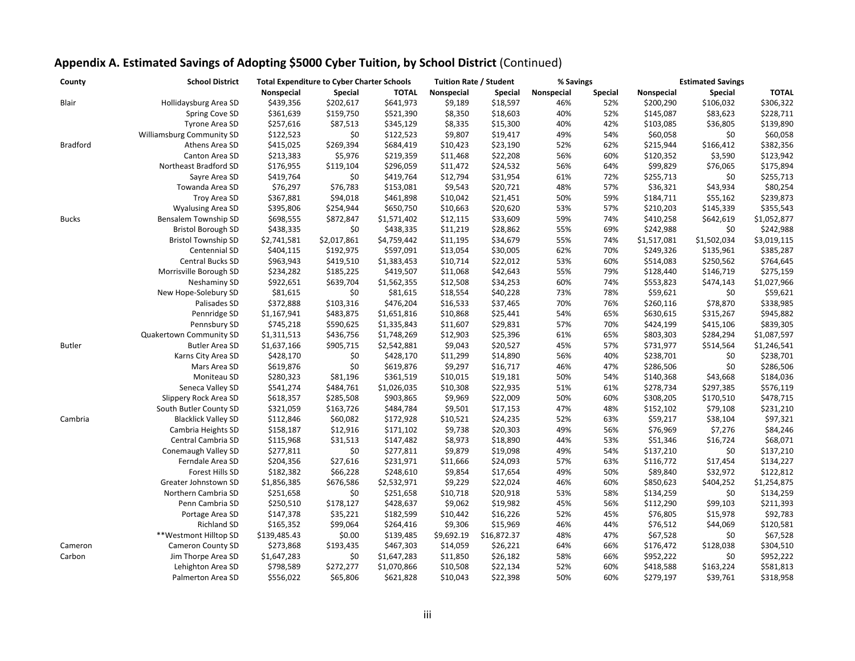| County          | <b>School District</b>           | <b>Total Expenditure to Cyber Charter Schools</b> |                |              | <b>Tuition Rate / Student</b> |                | % Savings  |                | <b>Estimated Savings</b> |                |              |
|-----------------|----------------------------------|---------------------------------------------------|----------------|--------------|-------------------------------|----------------|------------|----------------|--------------------------|----------------|--------------|
|                 |                                  | Nonspecial                                        | <b>Special</b> | <b>TOTAL</b> | Nonspecial                    | <b>Special</b> | Nonspecial | <b>Special</b> | Nonspecial               | <b>Special</b> | <b>TOTAL</b> |
| Blair           | Hollidaysburg Area SD            | \$439,356                                         | \$202,617      | \$641,973    | \$9,189                       | \$18,597       | 46%        | 52%            | \$200,290                | \$106,032      | \$306,322    |
|                 | Spring Cove SD                   | \$361,639                                         | \$159,750      | \$521,390    | \$8,350                       | \$18,603       | 40%        | 52%            | \$145,087                | \$83,623       | \$228,711    |
|                 | Tyrone Area SD                   | \$257,616                                         | \$87,513       | \$345,129    | \$8,335                       | \$15,300       | 40%        | 42%            | \$103,085                | \$36,805       | \$139,890    |
|                 | <b>Williamsburg Community SD</b> | \$122,523                                         | \$0            | \$122,523    | \$9,807                       | \$19,417       | 49%        | 54%            | \$60,058                 | \$0            | \$60,058     |
| <b>Bradford</b> | Athens Area SD                   | \$415,025                                         | \$269,394      | \$684,419    | \$10,423                      | \$23,190       | 52%        | 62%            | \$215,944                | \$166,412      | \$382,356    |
|                 | Canton Area SD                   | \$213,383                                         | \$5,976        | \$219,359    | \$11,468                      | \$22,208       | 56%        | 60%            | \$120,352                | \$3,590        | \$123,942    |
|                 | Northeast Bradford SD            | \$176,955                                         | \$119,104      | \$296,059    | \$11,472                      | \$24,532       | 56%        | 64%            | \$99,829                 | \$76,065       | \$175,894    |
|                 | Sayre Area SD                    | \$419,764                                         | \$0            | \$419,764    | \$12,794                      | \$31,954       | 61%        | 72%            | \$255,713                | \$0            | \$255,713    |
|                 | Towanda Area SD                  | \$76,297                                          | \$76,783       | \$153,081    | \$9,543                       | \$20,721       | 48%        | 57%            | \$36,321                 | \$43,934       | \$80,254     |
|                 | Troy Area SD                     | \$367,881                                         | \$94,018       | \$461,898    | \$10,042                      | \$21,451       | 50%        | 59%            | \$184,711                | \$55,162       | \$239,873    |
|                 | <b>Wyalusing Area SD</b>         | \$395,806                                         | \$254,944      | \$650,750    | \$10,663                      | \$20,620       | 53%        | 57%            | \$210,203                | \$145,339      | \$355,543    |
| <b>Bucks</b>    | Bensalem Township SD             | \$698,555                                         | \$872,847      | \$1,571,402  | \$12,115                      | \$33,609       | 59%        | 74%            | \$410,258                | \$642,619      | \$1,052,877  |
|                 | <b>Bristol Borough SD</b>        | \$438,335                                         | \$0            | \$438,335    | \$11,219                      | \$28,862       | 55%        | 69%            | \$242,988                | \$0            | \$242,988    |
|                 | <b>Bristol Township SD</b>       | \$2,741,581                                       | \$2,017,861    | \$4,759,442  | \$11,195                      | \$34,679       | 55%        | 74%            | \$1,517,081              | \$1,502,034    | \$3,019,115  |
|                 | Centennial SD                    | \$404,115                                         | \$192,975      | \$597,091    | \$13,054                      | \$30,005       | 62%        | 70%            | \$249,326                | \$135,961      | \$385,287    |
|                 | Central Bucks SD                 | \$963,943                                         | \$419,510      | \$1,383,453  | \$10,714                      | \$22,012       | 53%        | 60%            | \$514,083                | \$250,562      | \$764,645    |
|                 | Morrisville Borough SD           | \$234,282                                         | \$185,225      | \$419,507    | \$11,068                      | \$42,643       | 55%        | 79%            | \$128,440                | \$146,719      | \$275,159    |
|                 | Neshaminy SD                     | \$922,651                                         | \$639,704      | \$1,562,355  | \$12,508                      | \$34,253       | 60%        | 74%            | \$553,823                | \$474,143      | \$1,027,966  |
|                 | New Hope-Solebury SD             | \$81,615                                          | \$0            | \$81,615     | \$18,554                      | \$40,228       | 73%        | 78%            | \$59,621                 | \$0            | \$59,621     |
|                 | Palisades SD                     | \$372,888                                         | \$103,316      | \$476,204    | \$16,533                      | \$37,465       | 70%        | 76%            | \$260,116                | \$78,870       | \$338,985    |
|                 | Pennridge SD                     | \$1,167,941                                       | \$483,875      | \$1,651,816  | \$10,868                      | \$25,441       | 54%        | 65%            | \$630,615                | \$315,267      | \$945,882    |
|                 | Pennsbury SD                     | \$745,218                                         | \$590,625      | \$1,335,843  | \$11,607                      | \$29,831       | 57%        | 70%            | \$424,199                | \$415,106      | \$839,305    |
|                 | Quakertown Community SD          | \$1,311,513                                       | \$436,756      | \$1,748,269  | \$12,903                      | \$25,396       | 61%        | 65%            | \$803,303                | \$284,294      | \$1,087,597  |
| <b>Butler</b>   | <b>Butler Area SD</b>            | \$1,637,166                                       | \$905,715      | \$2,542,881  | \$9,043                       | \$20,527       | 45%        | 57%            | \$731,977                | \$514,564      | \$1,246,541  |
|                 | Karns City Area SD               | \$428,170                                         | \$0            | \$428,170    | \$11,299                      | \$14,890       | 56%        | 40%            | \$238,701                | \$0            | \$238,701    |
|                 | Mars Area SD                     | \$619,876                                         | \$0            | \$619,876    | \$9,297                       | \$16,717       | 46%        | 47%            | \$286,506                | \$0            | \$286,506    |
|                 | Moniteau SD                      | \$280,323                                         | \$81,196       | \$361,519    | \$10,015                      | \$19,181       | 50%        | 54%            | \$140,368                | \$43,668       | \$184,036    |
|                 | Seneca Valley SD                 | \$541,274                                         | \$484,761      | \$1,026,035  | \$10,308                      | \$22,935       | 51%        | 61%            | \$278,734                | \$297,385      | \$576,119    |
|                 | Slippery Rock Area SD            | \$618,357                                         | \$285,508      | \$903,865    | \$9,969                       | \$22,009       | 50%        | 60%            | \$308,205                | \$170,510      | \$478,715    |
|                 | South Butler County SD           | \$321,059                                         | \$163,726      | \$484,784    | \$9,501                       | \$17,153       | 47%        | 48%            | \$152,102                | \$79,108       | \$231,210    |
| Cambria         | <b>Blacklick Valley SD</b>       | \$112,846                                         | \$60,082       | \$172,928    | \$10,521                      | \$24,235       | 52%        | 63%            | \$59,217                 | \$38,104       | \$97,321     |
|                 | Cambria Heights SD               | \$158,187                                         | \$12,916       | \$171,102    | \$9,738                       | \$20,303       | 49%        | 56%            | \$76,969                 | \$7,276        | \$84,246     |
|                 | Central Cambria SD               | \$115,968                                         | \$31,513       | \$147,482    | \$8,973                       | \$18,890       | 44%        | 53%            | \$51,346                 | \$16,724       | \$68,071     |
|                 | Conemaugh Valley SD              | \$277,811                                         | \$0            | \$277,811    | \$9,879                       | \$19,098       | 49%        | 54%            | \$137,210                | \$0            | \$137,210    |
|                 | Ferndale Area SD                 |                                                   |                |              |                               |                | 57%        | 63%            |                          |                |              |
|                 |                                  | \$204,356                                         | \$27,616       | \$231,971    | \$11,666                      | \$24,093       |            |                | \$116,772                | \$17,454       | \$134,227    |
|                 | Forest Hills SD                  | \$182,382                                         | \$66,228       | \$248,610    | \$9,854                       | \$17,654       | 49%        | 50%            | \$89,840                 | \$32,972       | \$122,812    |
|                 | Greater Johnstown SD             | \$1,856,385                                       | \$676,586      | \$2,532,971  | \$9,229                       | \$22,024       | 46%        | 60%            | \$850,623                | \$404,252      | \$1,254,875  |
|                 | Northern Cambria SD              | \$251,658                                         | \$0            | \$251,658    | \$10,718                      | \$20,918       | 53%        | 58%            | \$134,259                | \$0            | \$134,259    |
|                 | Penn Cambria SD                  | \$250,510                                         | \$178,127      | \$428,637    | \$9,062                       | \$19,982       | 45%        | 56%            | \$112,290                | \$99,103       | \$211,393    |
|                 | Portage Area SD                  | \$147,378                                         | \$35,221       | \$182,599    | \$10,442                      | \$16,226       | 52%        | 45%            | \$76,805                 | \$15,978       | \$92,783     |
|                 | Richland SD                      | \$165,352                                         | \$99,064       | \$264,416    | \$9,306                       | \$15,969       | 46%        | 44%            | \$76,512                 | \$44,069       | \$120,581    |
|                 | **Westmont Hilltop SD            | \$139,485.43                                      | \$0.00         | \$139,485    | \$9,692.19                    | \$16,872.37    | 48%        | 47%            | \$67,528                 | \$0            | \$67,528     |
| Cameron         | Cameron County SD                | \$273,868                                         | \$193,435      | \$467,303    | \$14,059                      | \$26,221       | 64%        | 66%            | \$176,472                | \$128,038      | \$304,510    |
| Carbon          | Jim Thorpe Area SD               | \$1,647,283                                       | \$0            | \$1,647,283  | \$11,850                      | \$26,182       | 58%        | 66%            | \$952,222                | \$0            | \$952,222    |
|                 | Lehighton Area SD                | \$798,589                                         | \$272,277      | \$1,070,866  | \$10,508                      | \$22,134       | 52%        | 60%            | \$418,588                | \$163,224      | \$581,813    |
|                 | Palmerton Area SD                | \$556,022                                         | \$65,806       | \$621,828    | \$10,043                      | \$22,398       | 50%        | 60%            | \$279,197                | \$39,761       | \$318,958    |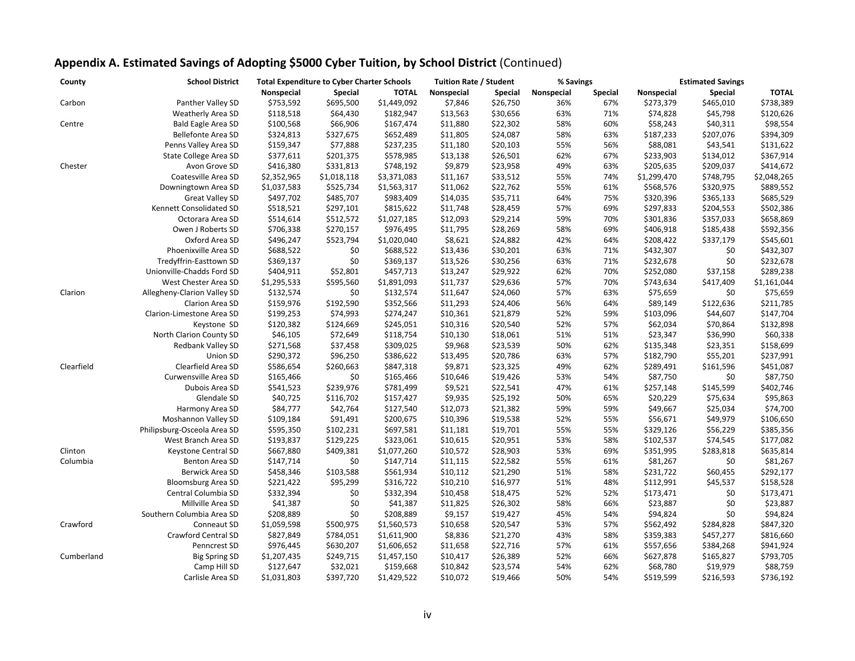| County     | <b>School District</b><br><b>Total Expenditure to Cyber Charter Schools</b> |             |                | <b>Tuition Rate / Student</b> |            | % Savings      |            | <b>Estimated Savings</b> |             |                |              |
|------------|-----------------------------------------------------------------------------|-------------|----------------|-------------------------------|------------|----------------|------------|--------------------------|-------------|----------------|--------------|
|            |                                                                             | Nonspecial  | <b>Special</b> | <b>TOTAL</b>                  | Nonspecial | <b>Special</b> | Nonspecial | <b>Special</b>           | Nonspecial  | <b>Special</b> | <b>TOTAL</b> |
| Carbon     | Panther Valley SD                                                           | \$753,592   | \$695,500      | \$1,449,092                   | \$7,846    | \$26,750       | 36%        | 67%                      | \$273,379   | \$465,010      | \$738,389    |
|            | Weatherly Area SD                                                           | \$118,518   | \$64,430       | \$182,947                     | \$13,563   | \$30,656       | 63%        | 71%                      | \$74,828    | \$45,798       | \$120,626    |
| Centre     | <b>Bald Eagle Area SD</b>                                                   | \$100,568   | \$66,906       | \$167,474                     | \$11,880   | \$22,302       | 58%        | 60%                      | \$58,243    | \$40,311       | \$98,554     |
|            | <b>Bellefonte Area SD</b>                                                   | \$324,813   | \$327,675      | \$652,489                     | \$11,805   | \$24,087       | 58%        | 63%                      | \$187,233   | \$207,076      | \$394,309    |
|            | Penns Valley Area SD                                                        | \$159,347   | \$77,888       | \$237,235                     | \$11,180   | \$20,103       | 55%        | 56%                      | \$88,081    | \$43,541       | \$131,622    |
|            | State College Area SD                                                       | \$377,611   | \$201,375      | \$578,985                     | \$13,138   | \$26,501       | 62%        | 67%                      | \$233,903   | \$134,012      | \$367,914    |
| Chester    | Avon Grove SD                                                               | \$416,380   | \$331,813      | \$748,192                     | \$9,879    | \$23,958       | 49%        | 63%                      | \$205,635   | \$209,037      | \$414,672    |
|            | Coatesville Area SD                                                         | \$2,352,965 | \$1,018,118    | \$3,371,083                   | \$11,167   | \$33,512       | 55%        | 74%                      | \$1,299,470 | \$748,795      | \$2,048,265  |
|            | Downingtown Area SD                                                         | \$1,037,583 | \$525,734      | \$1,563,317                   | \$11,062   | \$22,762       | 55%        | 61%                      | \$568,576   | \$320,975      | \$889,552    |
|            | <b>Great Valley SD</b>                                                      | \$497,702   | \$485,707      | \$983,409                     | \$14,035   | \$35,711       | 64%        | 75%                      | \$320,396   | \$365,133      | \$685,529    |
|            | Kennett Consolidated SD                                                     | \$518,521   | \$297,101      | \$815,622                     | \$11,748   | \$28,459       | 57%        | 69%                      | \$297,833   | \$204,553      | \$502,386    |
|            | Octorara Area SD                                                            | \$514,614   | \$512,572      | \$1,027,185                   | \$12,093   | \$29,214       | 59%        | 70%                      | \$301,836   | \$357,033      | \$658,869    |
|            | Owen J Roberts SD                                                           | \$706,338   | \$270,157      | \$976,495                     | \$11,795   | \$28,269       | 58%        | 69%                      | \$406,918   | \$185,438      | \$592,356    |
|            | Oxford Area SD                                                              | \$496,247   | \$523,794      | \$1,020,040                   | \$8,621    | \$24,882       | 42%        | 64%                      | \$208,422   | \$337,179      | \$545,601    |
|            | Phoenixville Area SD                                                        | \$688,522   | \$0            | \$688,522                     | \$13,436   | \$30,201       | 63%        | 71%                      | \$432,307   | \$0            | \$432,307    |
|            | Tredyffrin-Easttown SD                                                      | \$369,137   | \$0            | \$369,137                     | \$13,526   | \$30,256       | 63%        | 71%                      | \$232,678   | \$0            | \$232,678    |
|            | Unionville-Chadds Ford SD                                                   | \$404,911   | \$52,801       | \$457,713                     | \$13,247   | \$29,922       | 62%        | 70%                      | \$252,080   | \$37,158       | \$289,238    |
|            | West Chester Area SD                                                        | \$1,295,533 | \$595,560      | \$1,891,093                   | \$11,737   | \$29,636       | 57%        | 70%                      | \$743,634   | \$417,409      | \$1,161,044  |
| Clarion    | Allegheny-Clarion Valley SD                                                 | \$132,574   | \$0            | \$132,574                     | \$11,647   | \$24,060       | 57%        | 63%                      | \$75,659    | \$0            | \$75,659     |
|            | Clarion Area SD                                                             | \$159,976   | \$192,590      | \$352,566                     | \$11,293   | \$24,406       | 56%        | 64%                      | \$89,149    | \$122,636      | \$211,785    |
|            | Clarion-Limestone Area SD                                                   | \$199,253   | \$74,993       | \$274,247                     | \$10,361   | \$21,879       | 52%        | 59%                      | \$103,096   | \$44,607       | \$147,704    |
|            | Keystone SD                                                                 | \$120,382   | \$124,669      | \$245,051                     | \$10,316   | \$20,540       | 52%        | 57%                      | \$62,034    | \$70,864       | \$132,898    |
|            | North Clarion County SD                                                     | \$46,105    | \$72,649       | \$118,754                     | \$10,130   | \$18,061       | 51%        | 51%                      | \$23,347    | \$36,990       | \$60,338     |
|            | Redbank Valley SD                                                           | \$271,568   | \$37,458       | \$309,025                     | \$9,968    | \$23,539       | 50%        | 62%                      | \$135,348   | \$23,351       | \$158,699    |
|            | Union SD                                                                    | \$290,372   | \$96,250       | \$386,622                     | \$13,495   | \$20,786       | 63%        | 57%                      | \$182,790   | \$55,201       | \$237,991    |
| Clearfield | Clearfield Area SD                                                          | \$586,654   | \$260,663      | \$847,318                     | \$9,871    | \$23,325       | 49%        | 62%                      | \$289,491   | \$161,596      | \$451,087    |
|            | Curwensville Area SD                                                        | \$165,466   | \$0            | \$165,466                     | \$10,646   | \$19,426       | 53%        | 54%                      | \$87,750    | \$0            | \$87,750     |
|            | Dubois Area SD                                                              | \$541,523   | \$239,976      | \$781,499                     | \$9,521    | \$22,541       | 47%        | 61%                      | \$257,148   | \$145,599      | \$402,746    |
|            | Glendale SD                                                                 | \$40,725    | \$116,702      | \$157,427                     | \$9,935    | \$25,192       | 50%        | 65%                      | \$20,229    | \$75,634       | \$95,863     |
|            | Harmony Area SD                                                             | \$84,777    | \$42,764       | \$127,540                     | \$12,073   | \$21,382       | 59%        | 59%                      | \$49,667    | \$25,034       | \$74,700     |
|            | Moshannon Valley SD                                                         | \$109,184   | \$91,491       | \$200,675                     | \$10,396   | \$19,538       | 52%        | 55%                      | \$56,671    | \$49,979       | \$106,650    |
|            | Philipsburg-Osceola Area SD                                                 | \$595,350   | \$102,231      | \$697,581                     | \$11,181   | \$19,701       | 55%        | 55%                      | \$329,126   | \$56,229       | \$385,356    |
|            | West Branch Area SD                                                         | \$193,837   | \$129,225      | \$323,061                     | \$10,615   | \$20,951       | 53%        | 58%                      | \$102,537   | \$74,545       | \$177,082    |
| Clinton    | Keystone Central SD                                                         | \$667,880   | \$409,381      | \$1,077,260                   | \$10,572   | \$28,903       | 53%        | 69%                      | \$351,995   | \$283,818      | \$635,814    |
| Columbia   | Benton Area SD                                                              | \$147,714   | \$0            | \$147,714                     | \$11,115   | \$22,582       | 55%        | 61%                      | \$81,267    | \$0            | \$81,267     |
|            | Berwick Area SD                                                             | \$458,346   | \$103,588      | \$561,934                     | \$10,112   | \$21,290       | 51%        | 58%                      | \$231,722   | \$60,455       | \$292,177    |
|            | <b>Bloomsburg Area SD</b>                                                   | \$221,422   | \$95,299       | \$316,722                     | \$10,210   | \$16,977       | 51%        | 48%                      | \$112,991   | \$45,537       | \$158,528    |
|            | Central Columbia SD                                                         | \$332,394   | \$0            | \$332,394                     | \$10,458   | \$18,475       | 52%        | 52%                      | \$173,471   | \$0            | \$173,471    |
|            | Millville Area SD                                                           | \$41,387    | \$0            | \$41,387                      | \$11,825   | \$26,302       | 58%        | 66%                      | \$23,887    | \$0            | \$23,887     |
|            | Southern Columbia Area SD                                                   | \$208,889   | \$0            | \$208,889                     | \$9,157    | \$19,427       | 45%        | 54%                      | \$94,824    | \$0            | \$94,824     |
| Crawford   | Conneaut SD                                                                 | \$1,059,598 | \$500,975      | \$1,560,573                   | \$10,658   | \$20,547       | 53%        | 57%                      | \$562,492   | \$284,828      | \$847,320    |
|            | <b>Crawford Central SD</b>                                                  | \$827,849   | \$784,051      | \$1,611,900                   | \$8,836    | \$21,270       | 43%        | 58%                      | \$359,383   | \$457,277      | \$816,660    |
|            | Penncrest SD                                                                | \$976,445   | \$630,207      | \$1,606,652                   | \$11,658   | \$22,716       | 57%        | 61%                      | \$557,656   | \$384,268      | \$941,924    |
| Cumberland | <b>Big Spring SD</b>                                                        | \$1,207,435 | \$249,715      | \$1,457,150                   | \$10,417   | \$26,389       | 52%        | 66%                      | \$627,878   | \$165,827      | \$793,705    |
|            | Camp Hill SD                                                                | \$127,647   | \$32,021       | \$159,668                     | \$10,842   | \$23,574       | 54%        | 62%                      | \$68,780    | \$19,979       | \$88,759     |
|            | Carlisle Area SD                                                            | \$1,031,803 | \$397,720      | \$1,429,522                   | \$10,072   | \$19,466       | 50%        | 54%                      | \$519,599   | \$216,593      | \$736,192    |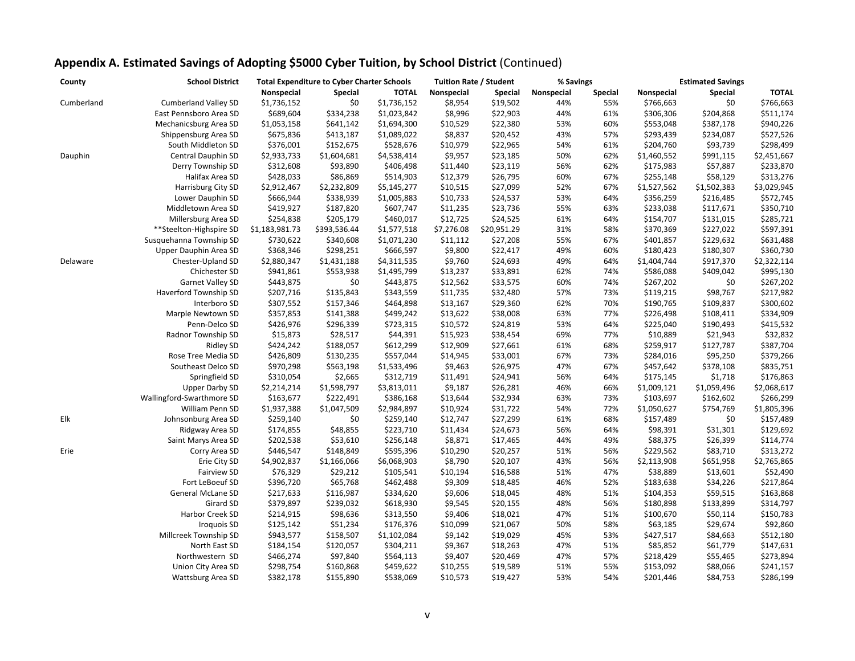| County     | <b>School District</b>      | <b>Total Expenditure to Cyber Charter Schools</b> |                |              | <b>Tuition Rate / Student</b> |                      | % Savings  |                | <b>Estimated Savings</b> |                       |              |
|------------|-----------------------------|---------------------------------------------------|----------------|--------------|-------------------------------|----------------------|------------|----------------|--------------------------|-----------------------|--------------|
|            |                             | Nonspecial                                        | <b>Special</b> | <b>TOTAL</b> | Nonspecial                    | <b>Special</b>       | Nonspecial | <b>Special</b> | Nonspecial               | <b>Special</b>        | <b>TOTAL</b> |
| Cumberland | <b>Cumberland Valley SD</b> | \$1,736,152                                       | \$0            | \$1,736,152  | \$8,954                       | \$19,502             | 44%        | 55%            | \$766,663                | \$0                   | \$766,663    |
|            | East Pennsboro Area SD      | \$689,604                                         | \$334,238      | \$1,023,842  | \$8,996                       | \$22,903             | 44%        | 61%            | \$306,306                | \$204,868             | \$511,174    |
|            | Mechanicsburg Area SD       | \$1,053,158                                       | \$641,142      | \$1,694,300  | \$10,529                      | \$22,380             | 53%        | 60%            | \$553,048                | \$387,178             | \$940,226    |
|            | Shippensburg Area SD        | \$675,836                                         | \$413,187      | \$1,089,022  | \$8,837                       | \$20,452             | 43%        | 57%            | \$293,439                | \$234,087             | \$527,526    |
|            | South Middleton SD          | \$376,001                                         | \$152,675      | \$528,676    | \$10,979                      | \$22,965             | 54%        | 61%            | \$204,760                | \$93,739              | \$298,499    |
| Dauphin    | <b>Central Dauphin SD</b>   | \$2,933,733                                       | \$1,604,681    | \$4,538,414  | \$9,957                       | \$23,185             | 50%        | 62%            | \$1,460,552              | \$991,115             | \$2,451,667  |
|            | Derry Township SD           | \$312,608                                         | \$93,890       | \$406,498    | \$11,440                      | \$23,119             | 56%        | 62%            | \$175,983                | \$57,887              | \$233,870    |
|            | Halifax Area SD             | \$428,033                                         | \$86,869       | \$514,903    | \$12,379                      | \$26,795             | 60%        | 67%            | \$255,148                | \$58,129              | \$313,276    |
|            | Harrisburg City SD          | \$2,912,467                                       | \$2,232,809    | \$5,145,277  | \$10,515                      | \$27,099             | 52%        | 67%            | \$1,527,562              | \$1,502,383           | \$3,029,945  |
|            | Lower Dauphin SD            | \$666,944                                         | \$338,939      | \$1,005,883  | \$10,733                      | \$24,537             | 53%        | 64%            | \$356,259                | \$216,485             | \$572,745    |
|            | Middletown Area SD          | \$419,927                                         | \$187,820      | \$607,747    | \$11,235                      | \$23,736             | 55%        | 63%            | \$233,038                | \$117,671             | \$350,710    |
|            | Millersburg Area SD         | \$254,838                                         | \$205,179      | \$460,017    | \$12,725                      | \$24,525             | 61%        | 64%            | \$154,707                | \$131,015             | \$285,721    |
|            | **Steelton-Highspire SD     | \$1,183,981.73                                    | \$393,536.44   | \$1,577,518  | \$7,276.08                    | \$20,951.29          | 31%        | 58%            | \$370,369                | \$227,022             | \$597,391    |
|            | Susquehanna Township SD     | \$730,622                                         | \$340,608      | \$1,071,230  | \$11,112                      | \$27,208             | 55%        | 67%            | \$401,857                | \$229,632             | \$631,488    |
|            | Upper Dauphin Area SD       | \$368,346                                         | \$298,251      | \$666,597    | \$9,800                       | \$22,417             | 49%        | 60%            | \$180,423                | \$180,307             | \$360,730    |
| Delaware   | Chester-Upland SD           | \$2,880,347                                       | \$1,431,188    | \$4,311,535  | \$9,760                       | \$24,693             | 49%        | 64%            | \$1,404,744              | \$917,370             | \$2,322,114  |
|            | Chichester SD               | \$941,861                                         | \$553,938      | \$1,495,799  | \$13,237                      | \$33,891             | 62%        | 74%            | \$586,088                | \$409,042             | \$995,130    |
|            | Garnet Valley SD            | \$443,875                                         | \$0            | \$443,875    | \$12,562                      | \$33,575             | 60%        | 74%            | \$267,202                | \$0                   | \$267,202    |
|            | Haverford Township SD       | \$207,716                                         | \$135,843      | \$343,559    | \$11,735                      | \$32,480             | 57%        | 73%            | \$119,215                | \$98,767              | \$217,982    |
|            | Interboro SD                | \$307,552                                         | \$157,346      | \$464,898    | \$13,167                      | \$29,360             | 62%        | 70%            | \$190,765                | \$109,837             | \$300,602    |
|            | Marple Newtown SD           | \$357,853                                         | \$141,388      | \$499,242    | \$13,622                      | \$38,008             | 63%        | 77%            | \$226,498                | \$108,411             | \$334,909    |
|            | Penn-Delco SD               | \$426,976                                         | \$296,339      | \$723,315    | \$10,572                      | \$24,819             | 53%        | 64%            | \$225,040                | \$190,493             | \$415,532    |
|            | Radnor Township SD          | \$15,873                                          | \$28,517       | \$44,391     | \$15,923                      | \$38,454             | 69%        | 77%            | \$10,889                 | \$21,943              | \$32,832     |
|            | <b>Ridley SD</b>            | \$424,242                                         | \$188,057      | \$612,299    | \$12,909                      | \$27,661             | 61%        | 68%            | \$259,917                | \$127,787             | \$387,704    |
|            | Rose Tree Media SD          | \$426,809                                         | \$130,235      | \$557,044    | \$14,945                      | \$33,001             | 67%        | 73%            | \$284,016                | \$95,250              | \$379,266    |
|            | Southeast Delco SD          | \$970,298                                         | \$563,198      | \$1,533,496  | \$9,463                       | \$26,975             | 47%        | 67%            | \$457,642                | \$378,108             | \$835,751    |
|            | Springfield SD              | \$310,054                                         | \$2,665        | \$312,719    | \$11,491                      | \$24,941             | 56%        | 64%            | \$175,145                | \$1,718               | \$176,863    |
|            | <b>Upper Darby SD</b>       | \$2,214,214                                       | \$1,598,797    | \$3,813,011  | \$9,187                       | \$26,281             | 46%        | 66%            | \$1,009,121              | \$1,059,496           | \$2,068,617  |
|            | Wallingford-Swarthmore SD   | \$163,677                                         | \$222,491      | \$386,168    | \$13,644                      | \$32,934             | 63%        | 73%            | \$103,697                | \$162,602             | \$266,299    |
|            | William Penn SD             | \$1,937,388                                       | \$1,047,509    | \$2,984,897  | \$10,924                      | \$31,722             | 54%        | 72%            | \$1,050,627              | \$754,769             | \$1,805,396  |
| Elk        | Johnsonburg Area SD         | \$259,140                                         | \$0            | \$259,140    | \$12,747                      | \$27,299             | 61%        | 68%            | \$157,489                | \$0                   | \$157,489    |
|            |                             | \$174,855                                         | \$48,855       | \$223,710    |                               | \$24,673             | 56%        | 64%            | \$98,391                 | \$31,301              | \$129,692    |
|            | Ridgway Area SD             | \$202,538                                         | \$53,610       | \$256,148    | \$11,434<br>\$8,871           | \$17,465             | 44%        | 49%            | \$88,375                 | \$26,399              | \$114,774    |
|            | Saint Marys Area SD         |                                                   |                |              |                               |                      | 51%        | 56%            |                          |                       | \$313,272    |
| Erie       | Corry Area SD               | \$446,547                                         | \$148,849      | \$595,396    | \$10,290<br>\$8,790           | \$20,257<br>\$20,107 |            |                | \$229,562                | \$83,710<br>\$651,958 |              |
|            | Erie City SD                | \$4,902,837                                       | \$1,166,066    | \$6,068,903  |                               |                      | 43%        | 56%            | \$2,113,908              |                       | \$2,765,865  |
|            | <b>Fairview SD</b>          | \$76,329                                          | \$29,212       | \$105,541    | \$10,194                      | \$16,588             | 51%        | 47%            | \$38,889                 | \$13,601              | \$52,490     |
|            | Fort LeBoeuf SD             | \$396,720                                         | \$65,768       | \$462,488    | \$9,309                       | \$18,485             | 46%        | 52%            | \$183,638                | \$34,226              | \$217,864    |
|            | General McLane SD           | \$217,633                                         | \$116,987      | \$334,620    | \$9,606                       | \$18,045             | 48%        | 51%            | \$104,353                | \$59,515              | \$163,868    |
|            | Girard SD                   | \$379,897                                         | \$239,032      | \$618,930    | \$9,545                       | \$20,155             | 48%        | 56%            | \$180,898                | \$133,899             | \$314,797    |
|            | Harbor Creek SD             | \$214,915                                         | \$98,636       | \$313,550    | \$9,406                       | \$18,021             | 47%        | 51%            | \$100,670                | \$50,114              | \$150,783    |
|            | <b>Iroquois SD</b>          | \$125,142                                         | \$51,234       | \$176,376    | \$10,099                      | \$21,067             | 50%        | 58%            | \$63,185                 | \$29,674              | \$92,860     |
|            | Millcreek Township SD       | \$943,577                                         | \$158,507      | \$1,102,084  | \$9,142                       | \$19,029             | 45%        | 53%            | \$427,517                | \$84,663              | \$512,180    |
|            | North East SD               | \$184,154                                         | \$120,057      | \$304,211    | \$9,367                       | \$18,263             | 47%        | 51%            | \$85,852                 | \$61,779              | \$147,631    |
|            | Northwestern SD             | \$466,274                                         | \$97,840       | \$564,113    | \$9,407                       | \$20,469             | 47%        | 57%            | \$218,429                | \$55,465              | \$273,894    |
|            | Union City Area SD          | \$298,754                                         | \$160,868      | \$459,622    | \$10,255                      | \$19,589             | 51%        | 55%            | \$153,092                | \$88,066              | \$241,157    |
|            | Wattsburg Area SD           | \$382,178                                         | \$155,890      | \$538,069    | \$10,573                      | \$19,427             | 53%        | 54%            | \$201,446                | \$84,753              | \$286,199    |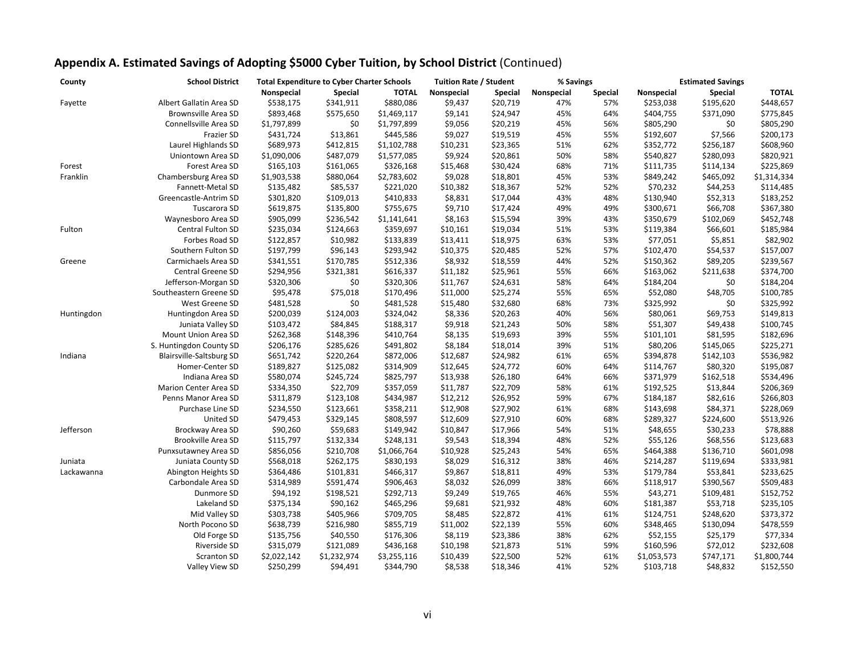| County     | <b>School District</b>   | <b>Total Expenditure to Cyber Charter Schools</b> |                |              | <b>Tuition Rate / Student</b> |                | % Savings  |                | <b>Estimated Savings</b> |                |              |
|------------|--------------------------|---------------------------------------------------|----------------|--------------|-------------------------------|----------------|------------|----------------|--------------------------|----------------|--------------|
|            |                          | Nonspecial                                        | <b>Special</b> | <b>TOTAL</b> | Nonspecial                    | <b>Special</b> | Nonspecial | <b>Special</b> | Nonspecial               | <b>Special</b> | <b>TOTAL</b> |
| Fayette    | Albert Gallatin Area SD  | \$538,175                                         | \$341,911      | \$880,086    | \$9,437                       | \$20,719       | 47%        | 57%            | \$253,038                | \$195,620      | \$448,657    |
|            | Brownsville Area SD      | \$893,468                                         | \$575,650      | \$1,469,117  | \$9,141                       | \$24,947       | 45%        | 64%            | \$404,755                | \$371,090      | \$775,845    |
|            | Connellsville Area SD    | \$1,797,899                                       | \$0            | \$1,797,899  | \$9,056                       | \$20,219       | 45%        | 56%            | \$805,290                | \$0            | \$805,290    |
|            | <b>Frazier SD</b>        | \$431,724                                         | \$13,861       | \$445,586    | \$9,027                       | \$19,519       | 45%        | 55%            | \$192,607                | \$7,566        | \$200,173    |
|            | Laurel Highlands SD      | \$689,973                                         | \$412,815      | \$1,102,788  | \$10,231                      | \$23,365       | 51%        | 62%            | \$352,772                | \$256,187      | \$608,960    |
|            | Uniontown Area SD        | \$1,090,006                                       | \$487,079      | \$1,577,085  | \$9,924                       | \$20,861       | 50%        | 58%            | \$540,827                | \$280,093      | \$820,921    |
| Forest     | Forest Area SD           | \$165,103                                         | \$161,065      | \$326,168    | \$15,468                      | \$30,424       | 68%        | 71%            | \$111,735                | \$114,134      | \$225,869    |
| Franklin   | Chambersburg Area SD     | \$1,903,538                                       | \$880,064      | \$2,783,602  | \$9,028                       | \$18,801       | 45%        | 53%            | \$849,242                | \$465,092      | \$1,314,334  |
|            | Fannett-Metal SD         | \$135,482                                         | \$85,537       | \$221,020    | \$10,382                      | \$18,367       | 52%        | 52%            | \$70,232                 | \$44,253       | \$114,485    |
|            | Greencastle-Antrim SD    | \$301,820                                         | \$109,013      | \$410,833    | \$8,831                       | \$17,044       | 43%        | 48%            | \$130,940                | \$52,313       | \$183,252    |
|            | Tuscarora SD             | \$619,875                                         | \$135,800      | \$755,675    | \$9,710                       | \$17,424       | 49%        | 49%            | \$300,671                | \$66,708       | \$367,380    |
|            | Waynesboro Area SD       | \$905,099                                         | \$236,542      | \$1,141,641  | \$8,163                       | \$15,594       | 39%        | 43%            | \$350,679                | \$102,069      | \$452,748    |
| Fulton     | Central Fulton SD        | \$235,034                                         | \$124,663      | \$359,697    | \$10,161                      | \$19,034       | 51%        | 53%            | \$119,384                | \$66,601       | \$185,984    |
|            | Forbes Road SD           | \$122,857                                         | \$10,982       | \$133,839    | \$13,411                      | \$18,975       | 63%        | 53%            | \$77,051                 | \$5,851        | \$82,902     |
|            | Southern Fulton SD       | \$197,799                                         | \$96,143       | \$293,942    | \$10,375                      | \$20,485       | 52%        | 57%            | \$102,470                | \$54,537       | \$157,007    |
| Greene     | Carmichaels Area SD      | \$341,551                                         | \$170,785      | \$512,336    | \$8,932                       | \$18,559       | 44%        | 52%            | \$150,362                | \$89,205       | \$239,567    |
|            | Central Greene SD        | \$294,956                                         | \$321,381      | \$616,337    | \$11,182                      | \$25,961       | 55%        | 66%            | \$163,062                | \$211,638      | \$374,700    |
|            | Jefferson-Morgan SD      | \$320,306                                         | \$0            | \$320,306    | \$11,767                      | \$24,631       | 58%        | 64%            | \$184,204                | \$0            | \$184,204    |
|            | Southeastern Greene SD   | \$95,478                                          | \$75,018       | \$170,496    | \$11,000                      | \$25,274       | 55%        | 65%            | \$52,080                 | \$48,705       | \$100,785    |
|            | West Greene SD           | \$481,528                                         | \$0            | \$481,528    | \$15,480                      | \$32,680       | 68%        | 73%            | \$325,992                | \$0            | \$325,992    |
| Huntingdon | Huntingdon Area SD       | \$200,039                                         | \$124,003      | \$324,042    | \$8,336                       | \$20,263       | 40%        | 56%            | \$80,061                 | \$69,753       | \$149,813    |
|            | Juniata Valley SD        | \$103,472                                         | \$84,845       | \$188,317    | \$9,918                       | \$21,243       | 50%        | 58%            | \$51,307                 | \$49,438       | \$100,745    |
|            | Mount Union Area SD      | \$262,368                                         | \$148,396      | \$410,764    | \$8,135                       | \$19,693       | 39%        | 55%            | \$101,101                | \$81,595       | \$182,696    |
|            | S. Huntingdon County SD  | \$206,176                                         | \$285,626      | \$491,802    | \$8,184                       | \$18,014       | 39%        | 51%            | \$80,206                 | \$145,065      | \$225,271    |
| Indiana    | Blairsville-Saltsburg SD | \$651,742                                         | \$220,264      | \$872,006    | \$12,687                      | \$24,982       | 61%        | 65%            | \$394,878                | \$142,103      | \$536,982    |
|            | Homer-Center SD          | \$189,827                                         | \$125,082      | \$314,909    | \$12,645                      | \$24,772       | 60%        | 64%            | \$114,767                | \$80,320       | \$195,087    |
|            | Indiana Area SD          | \$580,074                                         | \$245,724      | \$825,797    | \$13,938                      | \$26,180       | 64%        | 66%            | \$371,979                | \$162,518      | \$534,496    |
|            | Marion Center Area SD    | \$334,350                                         | \$22,709       | \$357,059    | \$11,787                      | \$22,709       | 58%        | 61%            | \$192,525                | \$13,844       | \$206,369    |
|            | Penns Manor Area SD      | \$311,879                                         | \$123,108      | \$434,987    | \$12,212                      | \$26,952       | 59%        | 67%            | \$184,187                | \$82,616       | \$266,803    |
|            | Purchase Line SD         | \$234,550                                         | \$123,661      | \$358,211    | \$12,908                      | \$27,902       | 61%        | 68%            | \$143,698                | \$84,371       | \$228,069    |
|            | United SD                | \$479,453                                         | \$329,145      | \$808,597    | \$12,609                      | \$27,910       | 60%        | 68%            | \$289,327                | \$224,600      | \$513,926    |
| Jefferson  | Brockway Area SD         | \$90,260                                          | \$59,683       | \$149,942    | \$10,847                      | \$17,966       | 54%        | 51%            | \$48,655                 | \$30,233       | \$78,888     |
|            | Brookville Area SD       | \$115,797                                         | \$132,334      | \$248,131    | \$9,543                       | \$18,394       | 48%        | 52%            | \$55,126                 | \$68,556       | \$123,683    |
|            | Punxsutawney Area SD     | \$856,056                                         | \$210,708      | \$1,066,764  | \$10,928                      | \$25,243       | 54%        | 65%            | \$464,388                | \$136,710      | \$601,098    |
| Juniata    | Juniata County SD        | \$568,018                                         | \$262,175      | \$830,193    | \$8,029                       | \$16,312       | 38%        | 46%            | \$214,287                | \$119,694      | \$333,981    |
| Lackawanna | Abington Heights SD      | \$364,486                                         | \$101,831      | \$466,317    | \$9,867                       | \$18,811       | 49%        | 53%            | \$179,784                | \$53,841       | \$233,625    |
|            | Carbondale Area SD       | \$314,989                                         | \$591,474      | \$906,463    | \$8,032                       | \$26,099       | 38%        | 66%            | \$118,917                | \$390,567      | \$509,483    |
|            | Dunmore SD               | \$94,192                                          | \$198,521      | \$292,713    | \$9,249                       | \$19,765       | 46%        | 55%            | \$43,271                 | \$109,481      | \$152,752    |
|            | Lakeland SD              | \$375,134                                         | \$90,162       | \$465,296    | \$9,681                       | \$21,932       | 48%        | 60%            | \$181,387                | \$53,718       | \$235,105    |
|            | Mid Valley SD            | \$303,738                                         | \$405,966      | \$709,705    | \$8,485                       | \$22,872       | 41%        | 61%            | \$124,751                | \$248,620      | \$373,372    |
|            | North Pocono SD          | \$638,739                                         | \$216,980      | \$855,719    | \$11,002                      | \$22,139       | 55%        | 60%            | \$348,465                | \$130,094      | \$478,559    |
|            | Old Forge SD             | \$135,756                                         | \$40,550       | \$176,306    | \$8,119                       | \$23,386       | 38%        | 62%            | \$52,155                 | \$25,179       | \$77,334     |
|            | Riverside SD             | \$315,079                                         | \$121,089      | \$436,168    | \$10,198                      | \$21,873       | 51%        | 59%            | \$160,596                | \$72,012       | \$232,608    |
|            | Scranton SD              | \$2,022,142                                       | \$1,232,974    | \$3,255,116  | \$10,439                      | \$22,500       | 52%        | 61%            | \$1,053,573              | \$747,171      | \$1,800,744  |
|            | Valley View SD           | \$250,299                                         | \$94,491       | \$344,790    | \$8,538                       | \$18,346       | 41%        | 52%            | \$103,718                | \$48,832       | \$152,550    |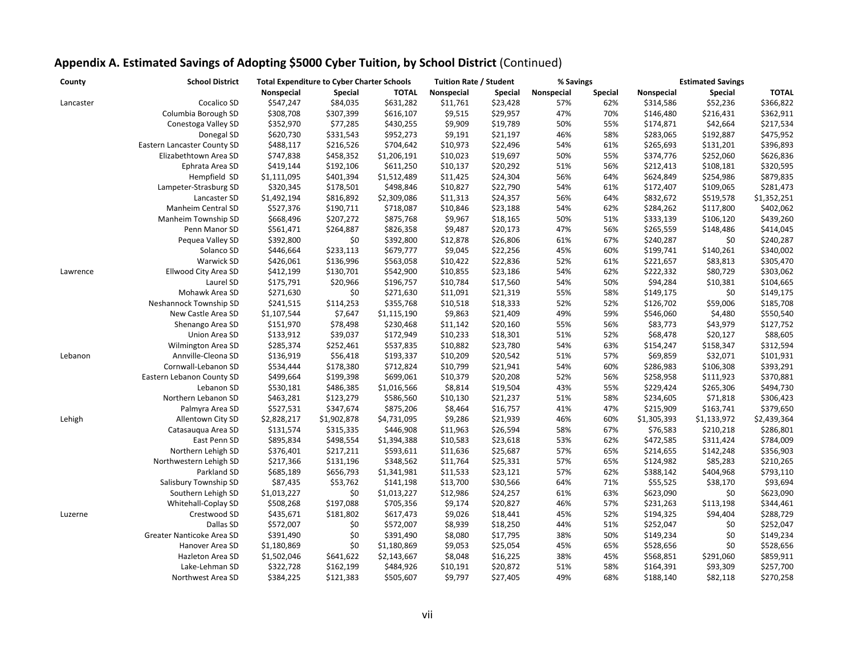| County    | <b>School District</b>      | <b>Total Expenditure to Cyber Charter Schools</b> |                |              | <b>Tuition Rate / Student</b> |                | % Savings  |                | <b>Estimated Savings</b> |                |              |
|-----------|-----------------------------|---------------------------------------------------|----------------|--------------|-------------------------------|----------------|------------|----------------|--------------------------|----------------|--------------|
|           |                             | Nonspecial                                        | <b>Special</b> | <b>TOTAL</b> | Nonspecial                    | <b>Special</b> | Nonspecial | <b>Special</b> | Nonspecial               | <b>Special</b> | <b>TOTAL</b> |
| Lancaster | Cocalico SD                 | \$547,247                                         | \$84,035       | \$631,282    | \$11,761                      | \$23,428       | 57%        | 62%            | \$314,586                | \$52,236       | \$366,822    |
|           | Columbia Borough SD         | \$308,708                                         | \$307,399      | \$616,107    | \$9,515                       | \$29,957       | 47%        | 70%            | \$146,480                | \$216,431      | \$362,911    |
|           | Conestoga Valley SD         | \$352,970                                         | \$77,285       | \$430,255    | \$9,909                       | \$19,789       | 50%        | 55%            | \$174,871                | \$42,664       | \$217,534    |
|           | Donegal SD                  | \$620,730                                         | \$331,543      | \$952,273    | \$9,191                       | \$21,197       | 46%        | 58%            | \$283,065                | \$192,887      | \$475,952    |
|           | Eastern Lancaster County SD | \$488,117                                         | \$216,526      | \$704,642    | \$10,973                      | \$22,496       | 54%        | 61%            | \$265,693                | \$131,201      | \$396,893    |
|           | Elizabethtown Area SD       | \$747,838                                         | \$458,352      | \$1,206,191  | \$10,023                      | \$19,697       | 50%        | 55%            | \$374,776                | \$252,060      | \$626,836    |
|           | Ephrata Area SD             | \$419,144                                         | \$192,106      | \$611,250    | \$10,137                      | \$20,292       | 51%        | 56%            | \$212,413                | \$108,181      | \$320,595    |
|           | Hempfield SD                | \$1,111,095                                       | \$401,394      | \$1,512,489  | \$11,425                      | \$24,304       | 56%        | 64%            | \$624,849                | \$254,986      | \$879,835    |
|           | Lampeter-Strasburg SD       | \$320,345                                         | \$178,501      | \$498,846    | \$10,827                      | \$22,790       | 54%        | 61%            | \$172,407                | \$109,065      | \$281,473    |
|           | Lancaster SD                | \$1,492,194                                       | \$816,892      | \$2,309,086  | \$11,313                      | \$24,357       | 56%        | 64%            | \$832,672                | \$519,578      | \$1,352,251  |
|           | Manheim Central SD          | \$527,376                                         | \$190,711      | \$718,087    | \$10,846                      | \$23,188       | 54%        | 62%            | \$284,262                | \$117,800      | \$402,062    |
|           | Manheim Township SD         | \$668,496                                         | \$207,272      | \$875,768    | \$9,967                       | \$18,165       | 50%        | 51%            | \$333,139                | \$106,120      | \$439,260    |
|           | Penn Manor SD               | \$561,471                                         | \$264,887      | \$826,358    | \$9,487                       | \$20,173       | 47%        | 56%            | \$265,559                | \$148,486      | \$414,045    |
|           | Pequea Valley SD            | \$392,800                                         | \$0            | \$392,800    | \$12,878                      | \$26,806       | 61%        | 67%            | \$240,287                | \$0            | \$240,287    |
|           | Solanco SD                  | \$446,664                                         | \$233,113      | \$679,777    | \$9,045                       | \$22,256       | 45%        | 60%            | \$199,741                | \$140,261      | \$340,002    |
|           | Warwick SD                  | \$426,061                                         | \$136,996      | \$563,058    | \$10,422                      | \$22,836       | 52%        | 61%            | \$221,657                | \$83,813       | \$305,470    |
| Lawrence  | Ellwood City Area SD        | \$412,199                                         | \$130,701      | \$542,900    | \$10,855                      | \$23,186       | 54%        | 62%            | \$222,332                | \$80,729       | \$303,062    |
|           | Laurel SD                   | \$175,791                                         | \$20,966       | \$196,757    | \$10,784                      | \$17,560       | 54%        | 50%            | \$94,284                 | \$10,381       | \$104,665    |
|           | Mohawk Area SD              | \$271,630                                         | \$0            | \$271,630    | \$11,091                      | \$21,319       | 55%        | 58%            | \$149,175                | \$0            | \$149,175    |
|           | Neshannock Township SD      | \$241,515                                         | \$114,253      | \$355,768    | \$10,518                      | \$18,333       | 52%        | 52%            | \$126,702                | \$59,006       | \$185,708    |
|           | New Castle Area SD          | \$1,107,544                                       | \$7,647        | \$1,115,190  | \$9,863                       | \$21,409       | 49%        | 59%            | \$546,060                | \$4,480        | \$550,540    |
|           | Shenango Area SD            | \$151,970                                         | \$78,498       | \$230,468    | \$11,142                      | \$20,160       | 55%        | 56%            | \$83,773                 | \$43,979       | \$127,752    |
|           | Union Area SD               | \$133,912                                         | \$39,037       | \$172,949    | \$10,233                      | \$18,301       | 51%        | 52%            | \$68,478                 | \$20,127       | \$88,605     |
|           | Wilmington Area SD          | \$285,374                                         | \$252,461      | \$537,835    | \$10,882                      | \$23,780       | 54%        | 63%            | \$154,247                | \$158,347      | \$312,594    |
| Lebanon   | Annville-Cleona SD          | \$136,919                                         | \$56,418       | \$193,337    | \$10,209                      | \$20,542       | 51%        | 57%            | \$69,859                 | \$32,071       | \$101,931    |
|           | Cornwall-Lebanon SD         | \$534,444                                         | \$178,380      | \$712,824    | \$10,799                      | \$21,941       | 54%        | 60%            | \$286,983                | \$106,308      | \$393,291    |
|           | Eastern Lebanon County SD   | \$499,664                                         | \$199,398      | \$699,061    | \$10,379                      | \$20,208       | 52%        | 56%            | \$258,958                | \$111,923      | \$370,881    |
|           | Lebanon SD                  | \$530,181                                         | \$486,385      | \$1,016,566  | \$8,814                       | \$19,504       | 43%        | 55%            | \$229,424                | \$265,306      | \$494,730    |
|           | Northern Lebanon SD         | \$463,281                                         | \$123,279      | \$586,560    | \$10,130                      | \$21,237       | 51%        | 58%            | \$234,605                | \$71,818       | \$306,423    |
|           | Palmyra Area SD             | \$527,531                                         | \$347,674      | \$875,206    | \$8,464                       | \$16,757       | 41%        | 47%            | \$215,909                | \$163,741      | \$379,650    |
| Lehigh    | Allentown City SD           | \$2,828,217                                       | \$1,902,878    | \$4,731,095  | \$9,286                       | \$21,939       | 46%        | 60%            | \$1,305,393              | \$1,133,972    | \$2,439,364  |
|           | Catasaugua Area SD          | \$131,574                                         | \$315,335      | \$446,908    | \$11,963                      | \$26,594       | 58%        | 67%            | \$76,583                 | \$210,218      | \$286,801    |
|           | East Penn SD                | \$895,834                                         | \$498,554      | \$1,394,388  | \$10,583                      | \$23,618       | 53%        | 62%            | \$472,585                | \$311,424      | \$784,009    |
|           | Northern Lehigh SD          | \$376,401                                         | \$217,211      | \$593,611    | \$11,636                      | \$25,687       | 57%        | 65%            | \$214,655                | \$142,248      | \$356,903    |
|           | Northwestern Lehigh SD      | \$217,366                                         | \$131,196      | \$348,562    | \$11,764                      | \$25,331       | 57%        | 65%            | \$124,982                | \$85,283       | \$210,265    |
|           | Parkland SD                 | \$685,189                                         | \$656,793      | \$1,341,981  | \$11,533                      | \$23,121       | 57%        | 62%            | \$388,142                | \$404,968      | \$793,110    |
|           | Salisbury Township SD       | \$87,435                                          | \$53,762       | \$141,198    | \$13,700                      | \$30,566       | 64%        | 71%            | \$55,525                 | \$38,170       | \$93,694     |
|           | Southern Lehigh SD          | \$1,013,227                                       | \$0            | \$1,013,227  | \$12,986                      | \$24,257       | 61%        | 63%            | \$623,090                | \$0            | \$623,090    |
|           | Whitehall-Coplay SD         | \$508,268                                         | \$197,088      | \$705,356    | \$9,174                       | \$20,827       | 46%        | 57%            | \$231,263                | \$113,198      | \$344,461    |
| Luzerne   | Crestwood SD                | \$435,671                                         | \$181,802      | \$617,473    | \$9,026                       | \$18,441       | 45%        | 52%            | \$194,325                | \$94,404       | \$288,729    |
|           | Dallas SD                   | \$572,007                                         | \$0            | \$572,007    | \$8,939                       | \$18,250       | 44%        | 51%            | \$252,047                | \$0            | \$252,047    |
|           | Greater Nanticoke Area SD   | \$391,490                                         | \$0            | \$391,490    | \$8,080                       | \$17,795       | 38%        | 50%            | \$149,234                | \$0            | \$149,234    |
|           | Hanover Area SD             | \$1,180,869                                       | \$0            | \$1,180,869  | \$9,053                       | \$25,054       | 45%        | 65%            | \$528,656                | \$0            | \$528,656    |
|           | Hazleton Area SD            | \$1,502,046                                       | \$641,622      | \$2,143,667  | \$8,048                       | \$16,225       | 38%        | 45%            | \$568,851                | \$291,060      | \$859,911    |
|           | Lake-Lehman SD              | \$322,728                                         | \$162,199      | \$484,926    | \$10,191                      | \$20,872       | 51%        | 58%            | \$164,391                | \$93,309       | \$257,700    |
|           | Northwest Area SD           | \$384,225                                         | \$121,383      | \$505,607    | \$9,797                       | \$27,405       | 49%        | 68%            | \$188,140                | \$82,118       | \$270,258    |
|           |                             |                                                   |                |              |                               |                |            |                |                          |                |              |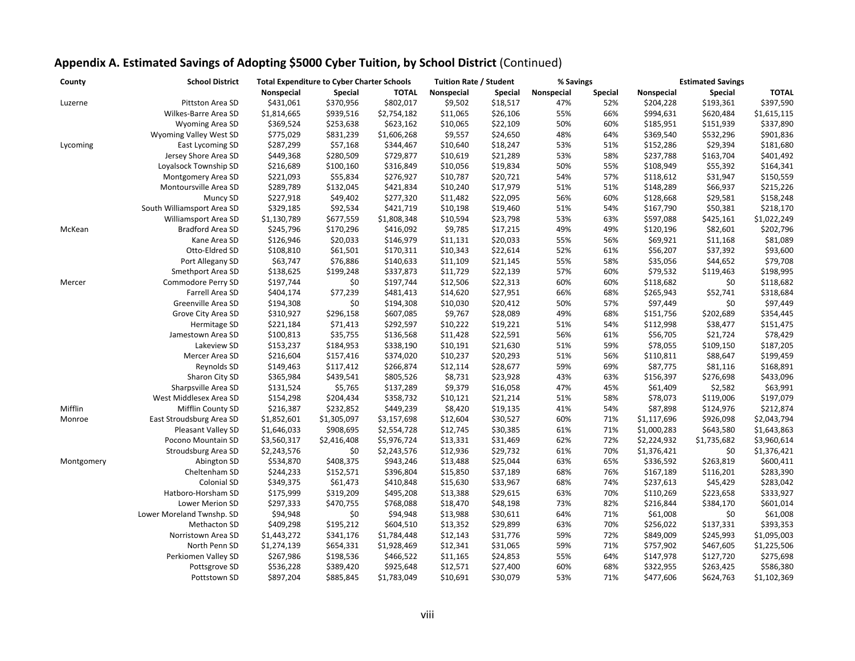| County     | <b>School District</b><br><b>Total Expenditure to Cyber Charter Schools</b> |             | <b>Tuition Rate / Student</b> |              | % Savings  |                | <b>Estimated Savings</b> |         |             |                |              |
|------------|-----------------------------------------------------------------------------|-------------|-------------------------------|--------------|------------|----------------|--------------------------|---------|-------------|----------------|--------------|
|            |                                                                             | Nonspecial  | <b>Special</b>                | <b>TOTAL</b> | Nonspecial | <b>Special</b> | Nonspecial               | Special | Nonspecial  | <b>Special</b> | <b>TOTAL</b> |
| Luzerne    | Pittston Area SD                                                            | \$431,061   | \$370,956                     | \$802,017    | \$9,502    | \$18,517       | 47%                      | 52%     | \$204,228   | \$193,361      | \$397,590    |
|            | Wilkes-Barre Area SD                                                        | \$1,814,665 | \$939,516                     | \$2,754,182  | \$11,065   | \$26,106       | 55%                      | 66%     | \$994,631   | \$620,484      | \$1,615,115  |
|            | Wyoming Area SD                                                             | \$369,524   | \$253,638                     | \$623,162    | \$10,065   | \$22,109       | 50%                      | 60%     | \$185,951   | \$151,939      | \$337,890    |
|            | Wyoming Valley West SD                                                      | \$775,029   | \$831,239                     | \$1,606,268  | \$9,557    | \$24,650       | 48%                      | 64%     | \$369,540   | \$532,296      | \$901,836    |
| Lycoming   | East Lycoming SD                                                            | \$287,299   | \$57,168                      | \$344,467    | \$10,640   | \$18,247       | 53%                      | 51%     | \$152,286   | \$29,394       | \$181,680    |
|            | Jersey Shore Area SD                                                        | \$449,368   | \$280,509                     | \$729,877    | \$10,619   | \$21,289       | 53%                      | 58%     | \$237,788   | \$163,704      | \$401,492    |
|            | Loyalsock Township SD                                                       | \$216,689   | \$100,160                     | \$316,849    | \$10,056   | \$19,834       | 50%                      | 55%     | \$108,949   | \$55,392       | \$164,341    |
|            | Montgomery Area SD                                                          | \$221,093   | \$55,834                      | \$276,927    | \$10,787   | \$20,721       | 54%                      | 57%     | \$118,612   | \$31,947       | \$150,559    |
|            | Montoursville Area SD                                                       | \$289,789   | \$132,045                     | \$421,834    | \$10,240   | \$17,979       | 51%                      | 51%     | \$148,289   | \$66,937       | \$215,226    |
|            | Muncy SD                                                                    | \$227,918   | \$49,402                      | \$277,320    | \$11,482   | \$22,095       | 56%                      | 60%     | \$128,668   | \$29,581       | \$158,248    |
|            | South Williamsport Area SD                                                  | \$329,185   | \$92,534                      | \$421,719    | \$10,198   | \$19,460       | 51%                      | 54%     | \$167,790   | \$50,381       | \$218,170    |
|            | Williamsport Area SD                                                        | \$1,130,789 | \$677,559                     | \$1,808,348  | \$10,594   | \$23,798       | 53%                      | 63%     | \$597,088   | \$425,161      | \$1,022,249  |
| McKean     | <b>Bradford Area SD</b>                                                     | \$245,796   | \$170,296                     | \$416,092    | \$9,785    | \$17,215       | 49%                      | 49%     | \$120,196   | \$82,601       | \$202,796    |
|            | Kane Area SD                                                                | \$126,946   | \$20,033                      | \$146,979    | \$11,131   | \$20,033       | 55%                      | 56%     | \$69,921    | \$11,168       | \$81,089     |
|            | Otto-Eldred SD                                                              | \$108,810   | \$61,501                      | \$170,311    | \$10,343   | \$22,614       | 52%                      | 61%     | \$56,207    | \$37,392       | \$93,600     |
|            | Port Allegany SD                                                            | \$63,747    | \$76,886                      | \$140,633    | \$11,109   | \$21,145       | 55%                      | 58%     | \$35,056    | \$44,652       | \$79,708     |
|            | Smethport Area SD                                                           | \$138,625   | \$199,248                     | \$337,873    | \$11,729   | \$22,139       | 57%                      | 60%     | \$79,532    | \$119,463      | \$198,995    |
| Mercer     | Commodore Perry SD                                                          | \$197,744   | \$0                           | \$197,744    | \$12,506   | \$22,313       | 60%                      | 60%     | \$118,682   | \$0            | \$118,682    |
|            | Farrell Area SD                                                             | \$404,174   | \$77,239                      | \$481,413    | \$14,620   | \$27,951       | 66%                      | 68%     | \$265,943   | \$52,741       | \$318,684    |
|            | Greenville Area SD                                                          | \$194,308   | \$0                           | \$194,308    | \$10,030   | \$20,412       | 50%                      | 57%     | \$97,449    | \$0            | \$97,449     |
|            | Grove City Area SD                                                          | \$310,927   | \$296,158                     | \$607,085    | \$9,767    | \$28,089       | 49%                      | 68%     | \$151,756   | \$202,689      | \$354,445    |
|            | Hermitage SD                                                                | \$221,184   | \$71,413                      | \$292,597    | \$10,222   | \$19,221       | 51%                      | 54%     | \$112,998   | \$38,477       | \$151,475    |
|            | Jamestown Area SD                                                           | \$100,813   | \$35,755                      | \$136,568    | \$11,428   | \$22,591       | 56%                      | 61%     | \$56,705    | \$21,724       | \$78,429     |
|            | Lakeview SD                                                                 | \$153,237   | \$184,953                     | \$338,190    | \$10,191   | \$21,630       | 51%                      | 59%     | \$78,055    | \$109,150      | \$187,205    |
|            | Mercer Area SD                                                              | \$216,604   | \$157,416                     | \$374,020    | \$10,237   | \$20,293       | 51%                      | 56%     | \$110,811   | \$88,647       | \$199,459    |
|            | Reynolds SD                                                                 | \$149,463   | \$117,412                     | \$266,874    | \$12,114   | \$28,677       | 59%                      | 69%     | \$87,775    | \$81,116       | \$168,891    |
|            | Sharon City SD                                                              | \$365,984   | \$439,541                     | \$805,526    | \$8,731    | \$23,928       | 43%                      | 63%     | \$156,397   | \$276,698      | \$433,096    |
|            | Sharpsville Area SD                                                         | \$131,524   | \$5,765                       | \$137,289    | \$9,379    | \$16,058       | 47%                      | 45%     | \$61,409    | \$2,582        | \$63,991     |
|            | West Middlesex Area SD                                                      | \$154,298   | \$204,434                     | \$358,732    | \$10,121   | \$21,214       | 51%                      | 58%     | \$78,073    | \$119,006      | \$197,079    |
| Mifflin    | Mifflin County SD                                                           | \$216,387   | \$232,852                     | \$449,239    | \$8,420    | \$19,135       | 41%                      | 54%     | \$87,898    | \$124,976      | \$212,874    |
| Monroe     | East Stroudsburg Area SD                                                    | \$1,852,601 | \$1,305,097                   | \$3,157,698  | \$12,604   | \$30,527       | 60%                      | 71%     | \$1,117,696 | \$926,098      | \$2,043,794  |
|            | Pleasant Valley SD                                                          | \$1,646,033 | \$908,695                     | \$2,554,728  | \$12,745   | \$30,385       | 61%                      | 71%     | \$1,000,283 | \$643,580      | \$1,643,863  |
|            | Pocono Mountain SD                                                          | \$3,560,317 | \$2,416,408                   | \$5,976,724  | \$13,331   | \$31,469       | 62%                      | 72%     | \$2,224,932 | \$1,735,682    | \$3,960,614  |
|            | Stroudsburg Area SD                                                         | \$2,243,576 | \$0                           | \$2,243,576  | \$12,936   | \$29,732       | 61%                      | 70%     | \$1,376,421 | \$0            | \$1,376,421  |
| Montgomery | Abington SD                                                                 | \$534,870   | \$408,375                     | \$943,246    | \$13,488   | \$25,044       | 63%                      | 65%     | \$336,592   | \$263,819      | \$600,411    |
|            | Cheltenham SD                                                               | \$244,233   | \$152,571                     | \$396,804    | \$15,850   | \$37,189       | 68%                      | 76%     | \$167,189   | \$116,201      | \$283,390    |
|            | Colonial SD                                                                 | \$349,375   | \$61,473                      | \$410,848    | \$15,630   | \$33,967       | 68%                      | 74%     | \$237,613   | \$45,429       | \$283,042    |
|            | Hatboro-Horsham SD                                                          | \$175,999   | \$319,209                     | \$495,208    | \$13,388   | \$29,615       | 63%                      | 70%     | \$110,269   | \$223,658      | \$333,927    |
|            | Lower Merion SD                                                             | \$297,333   | \$470,755                     | \$768,088    | \$18,470   | \$48,198       | 73%                      | 82%     | \$216,844   | \$384,170      | \$601,014    |
|            | Lower Moreland Twnshp. SD                                                   | \$94,948    | \$0                           | \$94,948     | \$13,988   | \$30,611       | 64%                      | 71%     | \$61,008    | \$0            | \$61,008     |
|            | Methacton SD                                                                | \$409,298   | \$195,212                     | \$604,510    | \$13,352   | \$29,899       | 63%                      | 70%     | \$256,022   | \$137,331      | \$393,353    |
|            | Norristown Area SD                                                          | \$1,443,272 | \$341,176                     | \$1,784,448  | \$12,143   | \$31,776       | 59%                      | 72%     | \$849,009   | \$245,993      | \$1,095,003  |
|            | North Penn SD                                                               | \$1,274,139 | \$654,331                     | \$1,928,469  | \$12,341   | \$31,065       | 59%                      | 71%     | \$757,902   | \$467,605      | \$1,225,506  |
|            | Perkiomen Valley SD                                                         | \$267,986   | \$198,536                     | \$466,522    | \$11,165   | \$24,853       | 55%                      | 64%     | \$147,978   | \$127,720      | \$275,698    |
|            | Pottsgrove SD                                                               | \$536,228   | \$389,420                     | \$925,648    | \$12,571   | \$27,400       | 60%                      | 68%     | \$322,955   | \$263,425      | \$586,380    |
|            | Pottstown SD                                                                | \$897,204   | \$885,845                     | \$1,783,049  | \$10,691   | \$30,079       | 53%                      | 71%     | \$477,606   | \$624,763      | \$1,102,369  |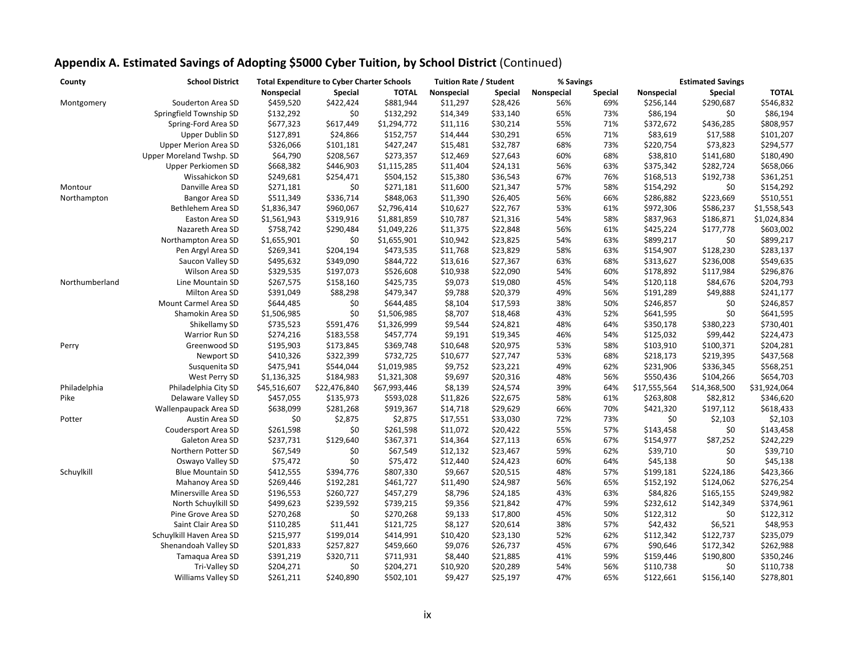| County         | <b>School District</b>      | <b>Total Expenditure to Cyber Charter Schools</b> |                |              | <b>Tuition Rate / Student</b> |                | % Savings  |         | <b>Estimated Savings</b> |                |              |
|----------------|-----------------------------|---------------------------------------------------|----------------|--------------|-------------------------------|----------------|------------|---------|--------------------------|----------------|--------------|
|                |                             | Nonspecial                                        | <b>Special</b> | <b>TOTAL</b> | Nonspecial                    | <b>Special</b> | Nonspecial | Special | Nonspecial               | <b>Special</b> | <b>TOTAL</b> |
| Montgomery     | Souderton Area SD           | \$459,520                                         | \$422,424      | \$881,944    | \$11,297                      | \$28,426       | 56%        | 69%     | \$256,144                | \$290,687      | \$546,832    |
|                | Springfield Township SD     | \$132,292                                         | \$0            | \$132,292    | \$14,349                      | \$33,140       | 65%        | 73%     | \$86,194                 | \$0            | \$86,194     |
|                | Spring-Ford Area SD         | \$677,323                                         | \$617,449      | \$1,294,772  | \$11,116                      | \$30,214       | 55%        | 71%     | \$372,672                | \$436,285      | \$808,957    |
|                | <b>Upper Dublin SD</b>      | \$127,891                                         | \$24,866       | \$152,757    | \$14,444                      | \$30,291       | 65%        | 71%     | \$83,619                 | \$17,588       | \$101,207    |
|                | <b>Upper Merion Area SD</b> | \$326,066                                         | \$101,181      | \$427,247    | \$15,481                      | \$32,787       | 68%        | 73%     | \$220,754                | \$73,823       | \$294,577    |
|                | Upper Moreland Twshp. SD    | \$64,790                                          | \$208,567      | \$273,357    | \$12,469                      | \$27,643       | 60%        | 68%     | \$38,810                 | \$141,680      | \$180,490    |
|                | Upper Perkiomen SD          | \$668,382                                         | \$446,903      | \$1,115,285  | \$11,404                      | \$24,131       | 56%        | 63%     | \$375,342                | \$282,724      | \$658,066    |
|                | Wissahickon SD              | \$249,681                                         | \$254,471      | \$504,152    | \$15,380                      | \$36,543       | 67%        | 76%     | \$168,513                | \$192,738      | \$361,251    |
| Montour        | Danville Area SD            | \$271,181                                         | \$0            | \$271,181    | \$11,600                      | \$21,347       | 57%        | 58%     | \$154,292                | \$0            | \$154,292    |
| Northampton    | Bangor Area SD              | \$511,349                                         | \$336,714      | \$848,063    | \$11,390                      | \$26,405       | 56%        | 66%     | \$286,882                | \$223,669      | \$510,551    |
|                | Bethlehem Area SD           | \$1,836,347                                       | \$960,067      | \$2,796,414  | \$10,627                      | \$22,767       | 53%        | 61%     | \$972,306                | \$586,237      | \$1,558,543  |
|                | Easton Area SD              | \$1,561,943                                       | \$319,916      | \$1,881,859  | \$10,787                      | \$21,316       | 54%        | 58%     | \$837,963                | \$186,871      | \$1,024,834  |
|                | Nazareth Area SD            | \$758,742                                         | \$290,484      | \$1,049,226  | \$11,375                      | \$22,848       | 56%        | 61%     | \$425,224                | \$177,778      | \$603,002    |
|                | Northampton Area SD         | \$1,655,901                                       | \$0            | \$1,655,901  | \$10,942                      | \$23,825       | 54%        | 63%     | \$899,217                | \$0            | \$899,217    |
|                | Pen Argyl Area SD           | \$269,341                                         | \$204,194      | \$473,535    | \$11,768                      | \$23,829       | 58%        | 63%     | \$154,907                | \$128,230      | \$283,137    |
|                | Saucon Valley SD            | \$495,632                                         | \$349,090      | \$844,722    | \$13,616                      | \$27,367       | 63%        | 68%     | \$313,627                | \$236,008      | \$549,635    |
|                | Wilson Area SD              | \$329,535                                         | \$197,073      | \$526,608    | \$10,938                      | \$22,090       | 54%        | 60%     | \$178,892                | \$117,984      | \$296,876    |
| Northumberland |                             | \$267,575                                         |                | \$425,735    | \$9,073                       | \$19,080       | 45%        | 54%     | \$120,118                | \$84,676       | \$204,793    |
|                | Line Mountain SD            |                                                   | \$158,160      |              |                               |                |            |         |                          |                |              |
|                | Milton Area SD              | \$391,049                                         | \$88,298       | \$479,347    | \$9,788                       | \$20,379       | 49%        | 56%     | \$191,289                | \$49,888       | \$241,177    |
|                | Mount Carmel Area SD        | \$644,485                                         | \$0            | \$644,485    | \$8,104                       | \$17,593       | 38%        | 50%     | \$246,857                | \$0            | \$246,857    |
|                | Shamokin Area SD            | \$1,506,985                                       | \$0            | \$1,506,985  | \$8,707                       | \$18,468       | 43%        | 52%     | \$641,595                | \$0            | \$641,595    |
|                | Shikellamy SD               | \$735,523                                         | \$591,476      | \$1,326,999  | \$9,544                       | \$24,821       | 48%        | 64%     | \$350,178                | \$380,223      | \$730,401    |
|                | <b>Warrior Run SD</b>       | \$274,216                                         | \$183,558      | \$457,774    | \$9,191                       | \$19,345       | 46%        | 54%     | \$125,032                | \$99,442       | \$224,473    |
| Perry          | Greenwood SD                | \$195,903                                         | \$173,845      | \$369,748    | \$10,648                      | \$20,975       | 53%        | 58%     | \$103,910                | \$100,371      | \$204,281    |
|                | Newport SD                  | \$410,326                                         | \$322,399      | \$732,725    | \$10,677                      | \$27,747       | 53%        | 68%     | \$218,173                | \$219,395      | \$437,568    |
|                | Susquenita SD               | \$475,941                                         | \$544,044      | \$1,019,985  | \$9,752                       | \$23,221       | 49%        | 62%     | \$231,906                | \$336,345      | \$568,251    |
|                | West Perry SD               | \$1,136,325                                       | \$184,983      | \$1,321,308  | \$9,697                       | \$20,316       | 48%        | 56%     | \$550,436                | \$104,266      | \$654,703    |
| Philadelphia   | Philadelphia City SD        | \$45,516,607                                      | \$22,476,840   | \$67,993,446 | \$8,139                       | \$24,574       | 39%        | 64%     | \$17,555,564             | \$14,368,500   | \$31,924,064 |
| Pike           | Delaware Valley SD          | \$457,055                                         | \$135,973      | \$593,028    | \$11,826                      | \$22,675       | 58%        | 61%     | \$263,808                | \$82,812       | \$346,620    |
|                | Wallenpaupack Area SD       | \$638,099                                         | \$281,268      | \$919,367    | \$14,718                      | \$29,629       | 66%        | 70%     | \$421,320                | \$197,112      | \$618,433    |
| Potter         | Austin Area SD              | $$0$$                                             | \$2,875        | \$2,875      | \$17,551                      | \$33,030       | 72%        | 73%     | \$0                      | \$2,103        | \$2,103      |
|                | Coudersport Area SD         | \$261,598                                         | \$0            | \$261,598    | \$11,072                      | \$20,422       | 55%        | 57%     | \$143,458                | \$0            | \$143,458    |
|                | Galeton Area SD             | \$237,731                                         | \$129,640      | \$367,371    | \$14,364                      | \$27,113       | 65%        | 67%     | \$154,977                | \$87,252       | \$242,229    |
|                | Northern Potter SD          | \$67,549                                          | \$0            | \$67,549     | \$12,132                      | \$23,467       | 59%        | 62%     | \$39,710                 | \$0            | \$39,710     |
|                | Oswayo Valley SD            | \$75,472                                          | \$0            | \$75,472     | \$12,440                      | \$24,423       | 60%        | 64%     | \$45,138                 | \$0            | \$45,138     |
| Schuylkill     | <b>Blue Mountain SD</b>     | \$412,555                                         | \$394,776      | \$807,330    | \$9,667                       | \$20,515       | 48%        | 57%     | \$199,181                | \$224,186      | \$423,366    |
|                | Mahanoy Area SD             | \$269,446                                         | \$192,281      | \$461,727    | \$11,490                      | \$24,987       | 56%        | 65%     | \$152,192                | \$124,062      | \$276,254    |
|                | Minersville Area SD         | \$196,553                                         | \$260,727      | \$457,279    | \$8,796                       | \$24,185       | 43%        | 63%     | \$84,826                 | \$165,155      | \$249,982    |
|                | North Schuylkill SD         | \$499,623                                         | \$239,592      | \$739,215    | \$9,356                       | \$21,842       | 47%        | 59%     | \$232,612                | \$142,349      | \$374,961    |
|                | Pine Grove Area SD          | \$270,268                                         | \$0            | \$270,268    | \$9,133                       | \$17,800       | 45%        | 50%     | \$122,312                | \$0            | \$122,312    |
|                | Saint Clair Area SD         | \$110,285                                         | \$11,441       | \$121,725    | \$8,127                       | \$20,614       | 38%        | 57%     | \$42,432                 | \$6,521        | \$48,953     |
|                | Schuylkill Haven Area SD    | \$215,977                                         | \$199,014      | \$414,991    | \$10,420                      | \$23,130       | 52%        | 62%     | \$112,342                | \$122,737      | \$235,079    |
|                | Shenandoah Valley SD        | \$201,833                                         | \$257,827      | \$459,660    | \$9,076                       | \$26,737       | 45%        | 67%     | \$90,646                 | \$172,342      | \$262,988    |
|                | Tamaqua Area SD             | \$391,219                                         | \$320,711      | \$711,931    | \$8,440                       | \$21,885       | 41%        | 59%     | \$159,446                | \$190,800      | \$350,246    |
|                | Tri-Valley SD               | \$204,271                                         | \$0            | \$204,271    | \$10,920                      | \$20,289       | 54%        | 56%     | \$110,738                | \$0            | \$110,738    |
|                | <b>Williams Valley SD</b>   | \$261,211                                         | \$240,890      | \$502,101    | \$9,427                       | \$25,197       | 47%        | 65%     | \$122,661                | \$156,140      | \$278,801    |
|                |                             |                                                   |                |              |                               |                |            |         |                          |                |              |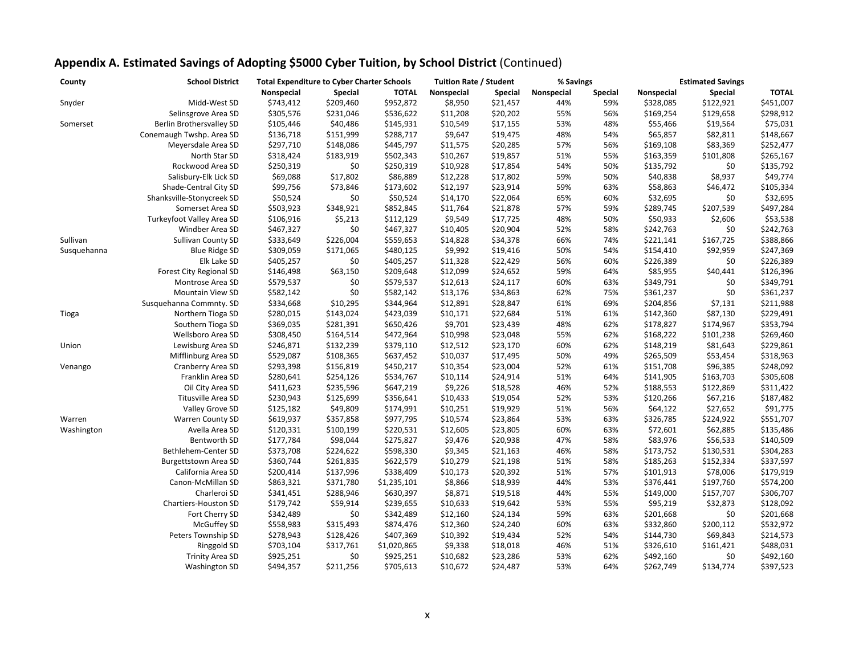| County      | <b>School District</b>    | <b>Total Expenditure to Cyber Charter Schools</b> |           | <b>Tuition Rate / Student</b> |            | % Savings      |            | <b>Estimated Savings</b> |            |           |              |
|-------------|---------------------------|---------------------------------------------------|-----------|-------------------------------|------------|----------------|------------|--------------------------|------------|-----------|--------------|
|             |                           | Nonspecial                                        | Special   | <b>TOTAL</b>                  | Nonspecial | <b>Special</b> | Nonspecial | <b>Special</b>           | Nonspecial | Special   | <b>TOTAL</b> |
| Snyder      | Midd-West SD              | \$743,412                                         | \$209,460 | \$952,872                     | \$8,950    | \$21,457       | 44%        | 59%                      | \$328,085  | \$122,921 | \$451,007    |
|             | Selinsgrove Area SD       | \$305,576                                         | \$231,046 | \$536,622                     | \$11,208   | \$20,202       | 55%        | 56%                      | \$169,254  | \$129,658 | \$298,912    |
| Somerset    | Berlin Brothersvalley SD  | \$105,446                                         | \$40,486  | \$145,931                     | \$10,549   | \$17,155       | 53%        | 48%                      | \$55,466   | \$19,564  | \$75,031     |
|             | Conemaugh Twshp. Area SD  | \$136,718                                         | \$151,999 | \$288,717                     | \$9,647    | \$19,475       | 48%        | 54%                      | \$65,857   | \$82,811  | \$148,667    |
|             | Meyersdale Area SD        | \$297,710                                         | \$148,086 | \$445,797                     | \$11,575   | \$20,285       | 57%        | 56%                      | \$169,108  | \$83,369  | \$252,477    |
|             | North Star SD             | \$318,424                                         | \$183,919 | \$502,343                     | \$10,267   | \$19,857       | 51%        | 55%                      | \$163,359  | \$101,808 | \$265,167    |
|             | Rockwood Area SD          | \$250,319                                         | \$0       | \$250,319                     | \$10,928   | \$17,854       | 54%        | 50%                      | \$135,792  | \$0       | \$135,792    |
|             | Salisbury-Elk Lick SD     | \$69,088                                          | \$17,802  | \$86,889                      | \$12,228   | \$17,802       | 59%        | 50%                      | \$40,838   | \$8,937   | \$49,774     |
|             | Shade-Central City SD     | \$99,756                                          | \$73,846  | \$173,602                     | \$12,197   | \$23,914       | 59%        | 63%                      | \$58,863   | \$46,472  | \$105,334    |
|             | Shanksville-Stonycreek SD | \$50,524                                          | \$0       | \$50,524                      | \$14,170   | \$22,064       | 65%        | 60%                      | \$32,695   | \$0       | \$32,695     |
|             | Somerset Area SD          | \$503,923                                         | \$348,921 | \$852,845                     | \$11,764   | \$21,878       | 57%        | 59%                      | \$289,745  | \$207,539 | \$497,284    |
|             | Turkeyfoot Valley Area SD | \$106,916                                         | \$5,213   | \$112,129                     | \$9,549    | \$17,725       | 48%        | 50%                      | \$50,933   | \$2,606   | \$53,538     |
|             | Windber Area SD           | \$467,327                                         | \$0       | \$467,327                     | \$10,405   | \$20,904       | 52%        | 58%                      | \$242,763  | \$0       | \$242,763    |
| Sullivan    | <b>Sullivan County SD</b> | \$333,649                                         | \$226,004 | \$559,653                     | \$14,828   | \$34,378       | 66%        | 74%                      | \$221,141  | \$167,725 | \$388,866    |
| Susquehanna | <b>Blue Ridge SD</b>      | \$309,059                                         | \$171,065 | \$480,125                     | \$9,992    | \$19,416       | 50%        | 54%                      | \$154,410  | \$92,959  | \$247,369    |
|             | Elk Lake SD               | \$405,257                                         | \$0       | \$405,257                     | \$11,328   | \$22,429       | 56%        | 60%                      | \$226,389  | \$0       | \$226,389    |
|             | Forest City Regional SD   | \$146,498                                         | \$63,150  | \$209,648                     | \$12,099   | \$24,652       | 59%        | 64%                      | \$85,955   | \$40,441  | \$126,396    |
|             | Montrose Area SD          | \$579,537                                         | \$0       | \$579,537                     | \$12,613   | \$24,117       | 60%        | 63%                      | \$349,791  | \$0       | \$349,791    |
|             | <b>Mountain View SD</b>   | \$582,142                                         | \$0       | \$582,142                     | \$13,176   | \$34,863       | 62%        | 75%                      | \$361,237  | \$0       | \$361,237    |
|             | Susquehanna Commnty. SD   | \$334,668                                         | \$10,295  | \$344,964                     | \$12,891   | \$28,847       | 61%        | 69%                      | \$204,856  | \$7,131   | \$211,988    |
| Tioga       | Northern Tioga SD         | \$280,015                                         | \$143,024 | \$423,039                     | \$10,171   | \$22,684       | 51%        | 61%                      | \$142,360  | \$87,130  | \$229,491    |
|             | Southern Tioga SD         | \$369,035                                         | \$281,391 | \$650,426                     | \$9,701    | \$23,439       | 48%        | 62%                      | \$178,827  | \$174,967 | \$353,794    |
|             | Wellsboro Area SD         | \$308,450                                         | \$164,514 | \$472,964                     | \$10,998   | \$23,048       | 55%        | 62%                      | \$168,222  | \$101,238 | \$269,460    |
| Union       | Lewisburg Area SD         | \$246,871                                         | \$132,239 | \$379,110                     | \$12,512   | \$23,170       | 60%        | 62%                      | \$148,219  | \$81,643  | \$229,861    |
|             | Mifflinburg Area SD       | \$529,087                                         | \$108,365 | \$637,452                     | \$10,037   | \$17,495       | 50%        | 49%                      | \$265,509  | \$53,454  | \$318,963    |
| Venango     | Cranberry Area SD         | \$293,398                                         | \$156,819 | \$450,217                     | \$10,354   | \$23,004       | 52%        | 61%                      | \$151,708  | \$96,385  | \$248,092    |
|             | Franklin Area SD          | \$280,641                                         | \$254,126 | \$534,767                     | \$10,114   | \$24,914       | 51%        | 64%                      | \$141,905  | \$163,703 | \$305,608    |
|             | Oil City Area SD          | \$411,623                                         | \$235,596 | \$647,219                     | \$9,226    | \$18,528       | 46%        | 52%                      | \$188,553  | \$122,869 | \$311,422    |
|             | Titusville Area SD        | \$230,943                                         | \$125,699 | \$356,641                     | \$10,433   | \$19,054       | 52%        | 53%                      | \$120,266  | \$67,216  | \$187,482    |
|             | Valley Grove SD           | \$125,182                                         | \$49,809  | \$174,991                     | \$10,251   | \$19,929       | 51%        | 56%                      | \$64,122   | \$27,652  | \$91,775     |
| Warren      | <b>Warren County SD</b>   | \$619,937                                         | \$357,858 | \$977,795                     | \$10,574   | \$23,864       | 53%        | 63%                      | \$326,785  | \$224,922 | \$551,707    |
| Washington  | Avella Area SD            | \$120,331                                         | \$100,199 | \$220,531                     | \$12,605   | \$23,805       | 60%        | 63%                      | \$72,601   | \$62,885  | \$135,486    |
|             | Bentworth SD              | \$177,784                                         | \$98,044  | \$275,827                     | \$9,476    | \$20,938       | 47%        | 58%                      | \$83,976   | \$56,533  | \$140,509    |
|             | Bethlehem-Center SD       | \$373,708                                         | \$224,622 | \$598,330                     | \$9,345    | \$21,163       | 46%        | 58%                      | \$173,752  | \$130,531 | \$304,283    |
|             | Burgettstown Area SD      | \$360,744                                         | \$261,835 | \$622,579                     | \$10,279   | \$21,198       | 51%        | 58%                      | \$185,263  | \$152,334 | \$337,597    |
|             | California Area SD        | \$200,414                                         | \$137,996 | \$338,409                     | \$10,173   | \$20,392       | 51%        | 57%                      | \$101,913  | \$78,006  | \$179,919    |
|             | Canon-McMillan SD         | \$863,321                                         | \$371,780 | \$1,235,101                   | \$8,866    | \$18,939       | 44%        | 53%                      | \$376,441  | \$197,760 | \$574,200    |
|             | Charleroi SD              | \$341,451                                         | \$288,946 | \$630,397                     | \$8,871    | \$19,518       | 44%        | 55%                      | \$149,000  | \$157,707 | \$306,707    |
|             | Chartiers-Houston SD      | \$179,742                                         | \$59,914  | \$239,655                     | \$10,633   | \$19,642       | 53%        | 55%                      | \$95,219   | \$32,873  | \$128,092    |
|             | Fort Cherry SD            | \$342,489                                         | \$0       | \$342,489                     | \$12,160   | \$24,134       | 59%        | 63%                      | \$201,668  | \$0       | \$201,668    |
|             | McGuffey SD               | \$558,983                                         | \$315,493 | \$874,476                     | \$12,360   | \$24,240       | 60%        | 63%                      | \$332,860  | \$200,112 | \$532,972    |
|             | Peters Township SD        | \$278,943                                         | \$128,426 | \$407,369                     | \$10,392   | \$19,434       | 52%        | 54%                      | \$144,730  | \$69,843  | \$214,573    |
|             | Ringgold SD               | \$703,104                                         | \$317,761 | \$1,020,865                   | \$9,338    | \$18,018       | 46%        | 51%                      | \$326,610  | \$161,421 | \$488,031    |
|             | <b>Trinity Area SD</b>    | \$925,251                                         | \$0       | \$925,251                     | \$10,682   | \$23,286       | 53%        | 62%                      | \$492,160  | \$0       | \$492,160    |
|             | <b>Washington SD</b>      | \$494,357                                         | \$211,256 | \$705,613                     | \$10,672   | \$24,487       | 53%        | 64%                      | \$262,749  | \$134,774 | \$397,523    |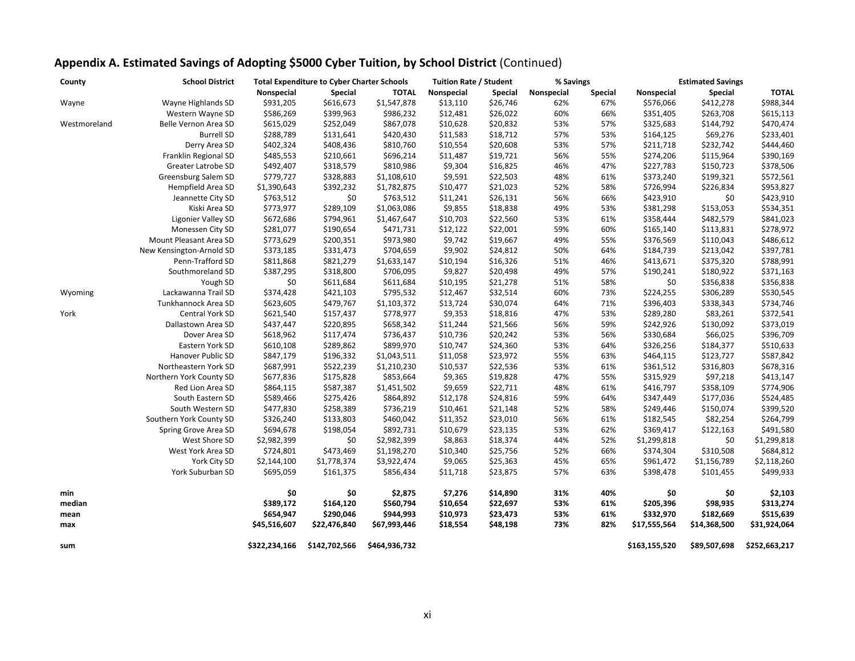| County       | <b>School District</b>   |               | <b>Total Expenditure to Cyber Charter Schools</b> |               | <b>Tuition Rate / Student</b> |                | % Savings  |                |               | <b>Estimated Savings</b> |               |
|--------------|--------------------------|---------------|---------------------------------------------------|---------------|-------------------------------|----------------|------------|----------------|---------------|--------------------------|---------------|
|              |                          | Nonspecial    | <b>Special</b>                                    | <b>TOTAL</b>  | Nonspecial                    | <b>Special</b> | Nonspecial | <b>Special</b> | Nonspecial    | Special                  | <b>TOTAL</b>  |
| Wayne        | Wayne Highlands SD       | \$931,205     | \$616,673                                         | \$1,547,878   | \$13,110                      | \$26,746       | 62%        | 67%            | \$576,066     | \$412,278                | \$988,344     |
|              | Western Wayne SD         | \$586,269     | \$399,963                                         | \$986,232     | \$12,481                      | \$26,022       | 60%        | 66%            | \$351,405     | \$263,708                | \$615,113     |
| Westmoreland | Belle Vernon Area SD     | \$615,029     | \$252,049                                         | \$867,078     | \$10,628                      | \$20,832       | 53%        | 57%            | \$325,683     | \$144,792                | \$470,474     |
|              | <b>Burrell SD</b>        | \$288,789     | \$131,641                                         | \$420,430     | \$11,583                      | \$18,712       | 57%        | 53%            | \$164,125     | \$69,276                 | \$233,401     |
|              | Derry Area SD            | \$402,324     | \$408,436                                         | \$810,760     | \$10,554                      | \$20,608       | 53%        | 57%            | \$211,718     | \$232,742                | \$444,460     |
|              | Franklin Regional SD     | \$485,553     | \$210,661                                         | \$696,214     | \$11,487                      | \$19,721       | 56%        | 55%            | \$274,206     | \$115,964                | \$390,169     |
|              | Greater Latrobe SD       | \$492,407     | \$318,579                                         | \$810,986     | \$9,304                       | \$16,825       | 46%        | 47%            | \$227,783     | \$150,723                | \$378,506     |
|              | Greensburg Salem SD      | \$779,727     | \$328,883                                         | \$1,108,610   | \$9,591                       | \$22,503       | 48%        | 61%            | \$373,240     | \$199,321                | \$572,561     |
|              | Hempfield Area SD        | \$1,390,643   | \$392,232                                         | \$1,782,875   | \$10,477                      | \$21,023       | 52%        | 58%            | \$726,994     | \$226,834                | \$953,827     |
|              | Jeannette City SD        | \$763,512     | \$0                                               | \$763,512     | \$11,241                      | \$26,131       | 56%        | 66%            | \$423,910     | \$0                      | \$423,910     |
|              | Kiski Area SD            | \$773,977     | \$289,109                                         | \$1,063,086   | \$9,855                       | \$18,838       | 49%        | 53%            | \$381,298     | \$153,053                | \$534,351     |
|              | Ligonier Valley SD       | \$672,686     | \$794,961                                         | \$1,467,647   | \$10,703                      | \$22,560       | 53%        | 61%            | \$358,444     | \$482,579                | \$841,023     |
|              | Monessen City SD         | \$281,077     | \$190,654                                         | \$471,731     | \$12,122                      | \$22,001       | 59%        | 60%            | \$165,140     | \$113,831                | \$278,972     |
|              | Mount Pleasant Area SD   | \$773,629     | \$200,351                                         | \$973,980     | \$9,742                       | \$19,667       | 49%        | 55%            | \$376,569     | \$110,043                | \$486,612     |
|              | New Kensington-Arnold SD | \$373,185     | \$331,473                                         | \$704,659     | \$9,902                       | \$24,812       | 50%        | 64%            | \$184,739     | \$213,042                | \$397,781     |
|              | Penn-Trafford SD         | \$811,868     | \$821,279                                         | \$1,633,147   | \$10,194                      | \$16,326       | 51%        | 46%            | \$413,671     | \$375,320                | \$788,991     |
|              | Southmoreland SD         | \$387,295     | \$318,800                                         | \$706,095     | \$9,827                       | \$20,498       | 49%        | 57%            | \$190,241     | \$180,922                | \$371,163     |
|              | Yough SD                 | \$0           | \$611,684                                         | \$611,684     | \$10,195                      | \$21,278       | 51%        | 58%            | \$0           | \$356,838                | \$356,838     |
| Wyoming      | Lackawanna Trail SD      | \$374,428     | \$421,103                                         | \$795,532     | \$12,467                      | \$32,514       | 60%        | 73%            | \$224,255     | \$306,289                | \$530,545     |
|              | Tunkhannock Area SD      | \$623,605     | \$479,767                                         | \$1,103,372   | \$13,724                      | \$30,074       | 64%        | 71%            | \$396,403     | \$338,343                | \$734,746     |
| York         | Central York SD          | \$621,540     | \$157,437                                         | \$778,977     | \$9,353                       | \$18,816       | 47%        | 53%            | \$289,280     | \$83,261                 | \$372,541     |
|              | Dallastown Area SD       | \$437,447     | \$220,895                                         | \$658,342     | \$11,244                      | \$21,566       | 56%        | 59%            | \$242,926     | \$130,092                | \$373,019     |
|              | Dover Area SD            | \$618,962     | \$117,474                                         | \$736,437     | \$10,736                      | \$20,242       | 53%        | 56%            | \$330,684     | \$66,025                 | \$396,709     |
|              | Eastern York SD          | \$610,108     | \$289,862                                         | \$899,970     | \$10,747                      | \$24,360       | 53%        | 64%            | \$326,256     | \$184,377                | \$510,633     |
|              | Hanover Public SD        | \$847,179     | \$196,332                                         | \$1,043,511   | \$11,058                      | \$23,972       | 55%        | 63%            | \$464,115     | \$123,727                | \$587,842     |
|              | Northeastern York SD     | \$687,991     | \$522,239                                         | \$1,210,230   | \$10,537                      | \$22,536       | 53%        | 61%            | \$361,512     | \$316,803                | \$678,316     |
|              | Northern York County SD  | \$677,836     | \$175,828                                         | \$853,664     | \$9,365                       | \$19,828       | 47%        | 55%            | \$315,929     | \$97,218                 | \$413,147     |
|              | Red Lion Area SD         | \$864,115     | \$587,387                                         | \$1,451,502   | \$9,659                       | \$22,711       | 48%        | 61%            | \$416,797     | \$358,109                | \$774,906     |
|              | South Eastern SD         | \$589,466     | \$275,426                                         | \$864,892     | \$12,178                      | \$24,816       | 59%        | 64%            | \$347,449     | \$177,036                | \$524,485     |
|              | South Western SD         | \$477,830     | \$258,389                                         | \$736,219     | \$10,461                      | \$21,148       | 52%        | 58%            | \$249,446     | \$150,074                | \$399,520     |
|              | Southern York County SD  | \$326,240     | \$133,803                                         | \$460,042     | \$11,352                      | \$23,010       | 56%        | 61%            | \$182,545     | \$82,254                 | \$264,799     |
|              | Spring Grove Area SD     | \$694,678     | \$198,054                                         | \$892,731     | \$10,679                      | \$23,135       | 53%        | 62%            | \$369,417     | \$122,163                | \$491,580     |
|              | West Shore SD            | \$2,982,399   | \$0                                               | \$2,982,399   | \$8,863                       | \$18,374       | 44%        | 52%            | \$1,299,818   | \$0                      | \$1,299,818   |
|              | West York Area SD        | \$724,801     | \$473,469                                         | \$1,198,270   | \$10,340                      | \$25,756       | 52%        | 66%            | \$374,304     | \$310,508                | \$684,812     |
|              | York City SD             | \$2,144,100   | \$1,778,374                                       | \$3,922,474   | \$9,065                       | \$25,363       | 45%        | 65%            | \$961,472     | \$1,156,789              | \$2,118,260   |
|              | York Suburban SD         | \$695,059     | \$161,375                                         | \$856,434     | \$11,718                      | \$23,875       | 57%        | 63%            | \$398,478     | \$101,455                | \$499,933     |
| min          |                          | \$0           | \$0                                               | \$2,875       | \$7,276                       | \$14,890       | 31%        | 40%            | \$0           | \$0                      | \$2,103       |
| median       |                          | \$389,172     | \$164,120                                         | \$560,794     | \$10,654                      | \$22,697       | 53%        | 61%            | \$205,396     | \$98,935                 | \$313,274     |
| mean         |                          | \$654,947     | \$290,046                                         | \$944,993     | \$10,973                      | \$23,473       | 53%        | 61%            | \$332,970     | \$182,669                | \$515,639     |
| max          |                          | \$45,516,607  | \$22,476,840                                      | \$67,993,446  | \$18,554                      | \$48,198       | 73%        | 82%            | \$17,555,564  | \$14,368,500             | \$31,924,064  |
| sum          |                          | \$322,234,166 | \$142,702,566                                     | \$464,936,732 |                               |                |            |                | \$163,155,520 | \$89,507,698             | \$252,663,217 |